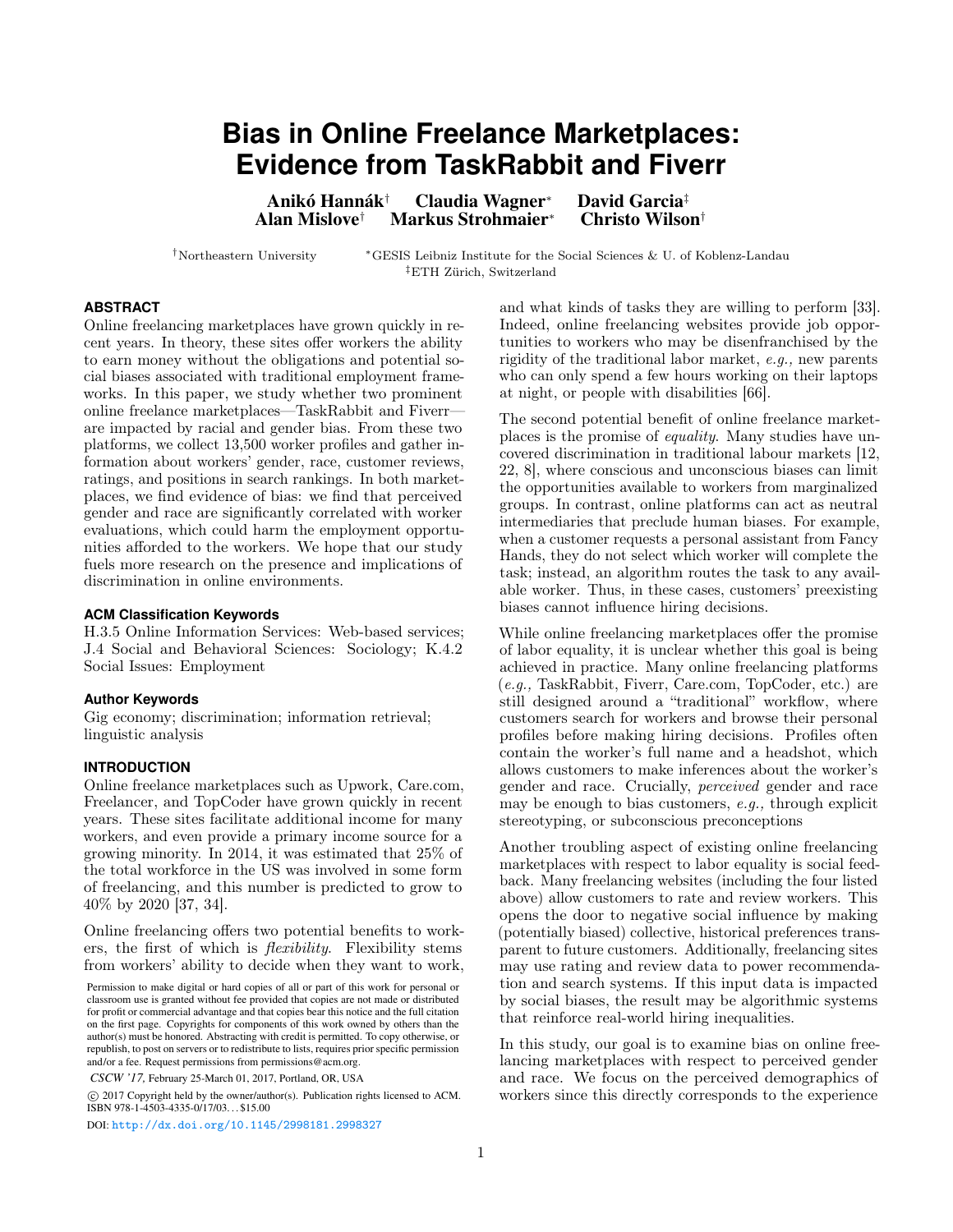# **Bias in Online Freelance Marketplaces: Evidence from TaskRabbit and Fiverr**

Anikó Hannák† Claudia Wagner<sup>∗</sup> David Garcia‡ Markus Strohmaier<sup>∗</sup>

†Northeastern University <sup>∗</sup>GESIS Leibniz Institute for the Social Sciences & U. of Koblenz-Landau ‡ETH Zürich, Switzerland

# **ABSTRACT**

Online freelancing marketplaces have grown quickly in recent years. In theory, these sites offer workers the ability to earn money without the obligations and potential social biases associated with traditional employment frameworks. In this paper, we study whether two prominent online freelance marketplaces—TaskRabbit and Fiverr are impacted by racial and gender bias. From these two platforms, we collect 13,500 worker profiles and gather information about workers' gender, race, customer reviews, ratings, and positions in search rankings. In both marketplaces, we find evidence of bias: we find that perceived gender and race are significantly correlated with worker evaluations, which could harm the employment opportunities afforded to the workers. We hope that our study fuels more research on the presence and implications of discrimination in online environments.

# **ACM Classification Keywords**

H.3.5 Online Information Services: Web-based services; J.4 Social and Behavioral Sciences: Sociology; K.4.2 Social Issues: Employment

# **Author Keywords**

Gig economy; discrimination; information retrieval; linguistic analysis

#### **INTRODUCTION**

Online freelance marketplaces such as Upwork, Care.com, Freelancer, and TopCoder have grown quickly in recent years. These sites facilitate additional income for many workers, and even provide a primary income source for a growing minority. In 2014, it was estimated that 25% of the total workforce in the US was involved in some form of freelancing, and this number is predicted to grow to 40% by 2020 [\[37,](#page-14-0) [34\]](#page-14-1).

Online freelancing offers two potential benefits to workers, the first of which is flexibility. Flexibility stems from workers' ability to decide when they want to work,

*CSCW '17,* February 25-March 01, 2017, Portland, OR, USA

 c 2017 Copyright held by the owner/author(s). Publication rights licensed to ACM. ISBN 978-1-4503-4335-0/17/03. . . \$15.00

DOI: <http://dx.doi.org/10.1145/2998181.2998327>

and what kinds of tasks they are willing to perform [\[33\]](#page-14-2). Indeed, online freelancing websites provide job opportunities to workers who may be disenfranchised by the rigidity of the traditional labor market, e.g., new parents who can only spend a few hours working on their laptops at night, or people with disabilities [\[66\]](#page-15-0).

The second potential benefit of online freelance marketplaces is the promise of equality. Many studies have uncovered discrimination in traditional labour markets [\[12,](#page-14-3) [22,](#page-14-4) [8\]](#page-14-5), where conscious and unconscious biases can limit the opportunities available to workers from marginalized groups. In contrast, online platforms can act as neutral intermediaries that preclude human biases. For example, when a customer requests a personal assistant from Fancy Hands, they do not select which worker will complete the task; instead, an algorithm routes the task to any available worker. Thus, in these cases, customers' preexisting biases cannot influence hiring decisions.

While online freelancing marketplaces offer the promise of labor equality, it is unclear whether this goal is being achieved in practice. Many online freelancing platforms (e.g., TaskRabbit, Fiverr, Care.com, TopCoder, etc.) are still designed around a "traditional" workflow, where customers search for workers and browse their personal profiles before making hiring decisions. Profiles often contain the worker's full name and a headshot, which allows customers to make inferences about the worker's gender and race. Crucially, perceived gender and race may be enough to bias customers, e.g., through explicit stereotyping, or subconscious preconceptions

Another troubling aspect of existing online freelancing marketplaces with respect to labor equality is social feedback. Many freelancing websites (including the four listed above) allow customers to rate and review workers. This opens the door to negative social influence by making (potentially biased) collective, historical preferences transparent to future customers. Additionally, freelancing sites may use rating and review data to power recommendation and search systems. If this input data is impacted by social biases, the result may be algorithmic systems that reinforce real-world hiring inequalities.

In this study, our goal is to examine bias on online freelancing marketplaces with respect to perceived gender and race. We focus on the perceived demographics of workers since this directly corresponds to the experience

Permission to make digital or hard copies of all or part of this work for personal or classroom use is granted without fee provided that copies are not made or distributed for profit or commercial advantage and that copies bear this notice and the full citation on the first page. Copyrights for components of this work owned by others than the author(s) must be honored. Abstracting with credit is permitted. To copy otherwise, or republish, to post on servers or to redistribute to lists, requires prior specific permission and/or a fee. Request permissions from permissions@acm.org.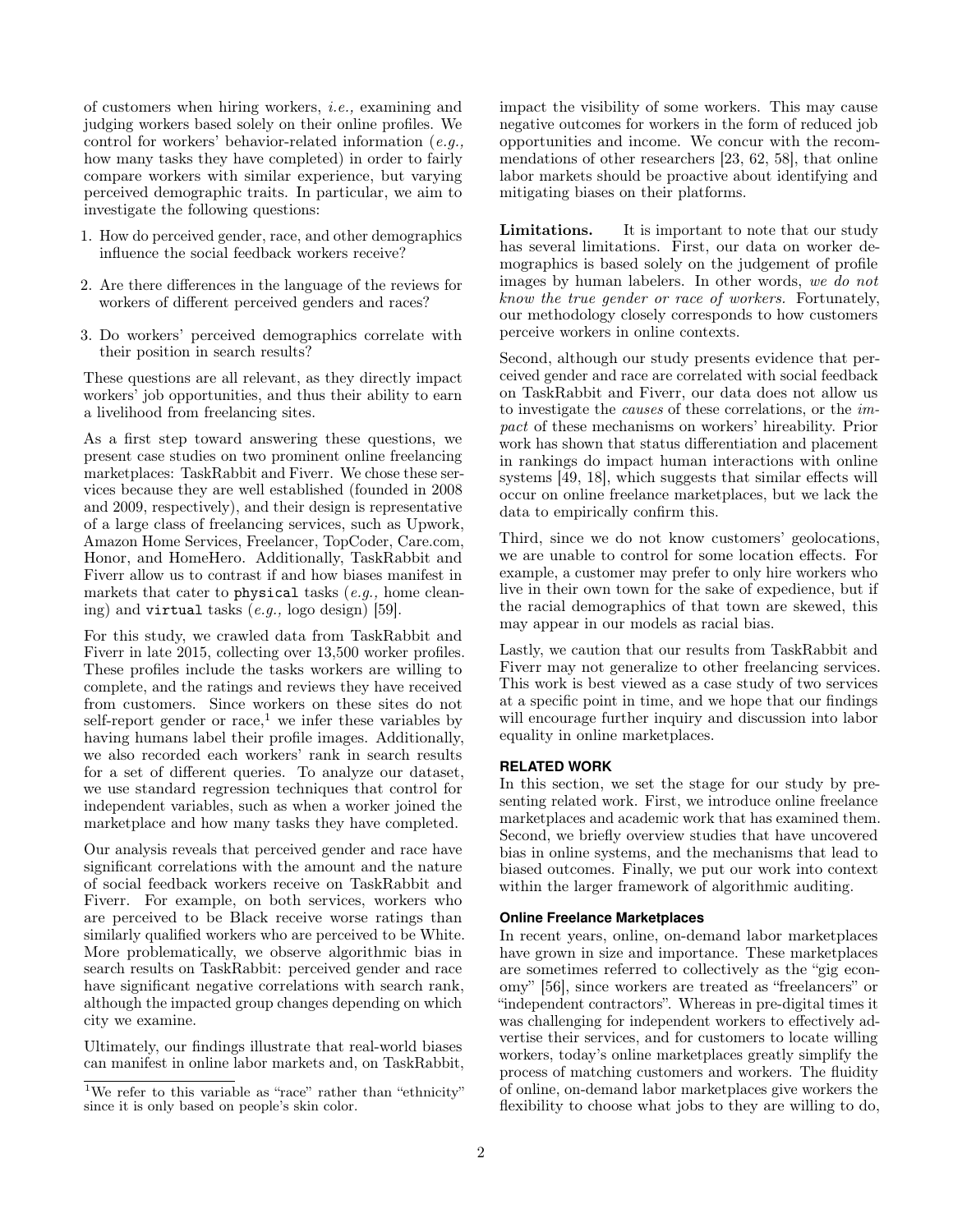of customers when hiring workers, i.e., examining and judging workers based solely on their online profiles. We control for workers' behavior-related information (e.g., how many tasks they have completed) in order to fairly compare workers with similar experience, but varying perceived demographic traits. In particular, we aim to investigate the following questions:

- 1. How do perceived gender, race, and other demographics influence the social feedback workers receive?
- 2. Are there differences in the language of the reviews for workers of different perceived genders and races?
- 3. Do workers' perceived demographics correlate with their position in search results?

These questions are all relevant, as they directly impact workers' job opportunities, and thus their ability to earn a livelihood from freelancing sites.

As a first step toward answering these questions, we present case studies on two prominent online freelancing marketplaces: TaskRabbit and Fiverr. We chose these services because they are well established (founded in 2008 and 2009, respectively), and their design is representative of a large class of freelancing services, such as Upwork, Amazon Home Services, Freelancer, TopCoder, Care.com, Honor, and HomeHero. Additionally, TaskRabbit and Fiverr allow us to contrast if and how biases manifest in markets that cater to physical tasks  $(e.g., home clean$ ing) and virtual tasks (e.g., logo design) [\[59\]](#page-15-1).

For this study, we crawled data from TaskRabbit and Fiverr in late 2015, collecting over 13,500 worker profiles. These profiles include the tasks workers are willing to complete, and the ratings and reviews they have received from customers. Since workers on these sites do not self-report gender or race,<sup>[1](#page-1-0)</sup> we infer these variables by having humans label their profile images. Additionally, we also recorded each workers' rank in search results for a set of different queries. To analyze our dataset, we use standard regression techniques that control for independent variables, such as when a worker joined the marketplace and how many tasks they have completed.

Our analysis reveals that perceived gender and race have significant correlations with the amount and the nature of social feedback workers receive on TaskRabbit and Fiverr. For example, on both services, workers who are perceived to be Black receive worse ratings than similarly qualified workers who are perceived to be White. More problematically, we observe algorithmic bias in search results on TaskRabbit: perceived gender and race have significant negative correlations with search rank, although the impacted group changes depending on which city we examine.

Ultimately, our findings illustrate that real-world biases can manifest in online labor markets and, on TaskRabbit, impact the visibility of some workers. This may cause negative outcomes for workers in the form of reduced job opportunities and income. We concur with the recommendations of other researchers [\[23,](#page-14-6) [62,](#page-15-2) [58\]](#page-15-3), that online labor markets should be proactive about identifying and mitigating biases on their platforms.

Limitations. It is important to note that our study has several limitations. First, our data on worker demographics is based solely on the judgement of profile images by human labelers. In other words, we do not know the true gender or race of workers. Fortunately, our methodology closely corresponds to how customers perceive workers in online contexts.

Second, although our study presents evidence that perceived gender and race are correlated with social feedback on TaskRabbit and Fiverr, our data does not allow us to investigate the causes of these correlations, or the impact of these mechanisms on workers' hireability. Prior work has shown that status differentiation and placement in rankings do impact human interactions with online systems [\[49,](#page-15-4) [18\]](#page-14-7), which suggests that similar effects will occur on online freelance marketplaces, but we lack the data to empirically confirm this.

Third, since we do not know customers' geolocations, we are unable to control for some location effects. For example, a customer may prefer to only hire workers who live in their own town for the sake of expedience, but if the racial demographics of that town are skewed, this may appear in our models as racial bias.

Lastly, we caution that our results from TaskRabbit and Fiverr may not generalize to other freelancing services. This work is best viewed as a case study of two services at a specific point in time, and we hope that our findings will encourage further inquiry and discussion into labor equality in online marketplaces.

# **RELATED WORK**

In this section, we set the stage for our study by presenting related work. First, we introduce online freelance marketplaces and academic work that has examined them. Second, we briefly overview studies that have uncovered bias in online systems, and the mechanisms that lead to biased outcomes. Finally, we put our work into context within the larger framework of algorithmic auditing.

# **Online Freelance Marketplaces**

In recent years, online, on-demand labor marketplaces have grown in size and importance. These marketplaces are sometimes referred to collectively as the "gig economy" [\[56\]](#page-15-5), since workers are treated as "freelancers" or "independent contractors". Whereas in pre-digital times it was challenging for independent workers to effectively advertise their services, and for customers to locate willing workers, today's online marketplaces greatly simplify the process of matching customers and workers. The fluidity of online, on-demand labor marketplaces give workers the flexibility to choose what jobs to they are willing to do,

<span id="page-1-0"></span><sup>1</sup>We refer to this variable as "race" rather than "ethnicity" since it is only based on people's skin color.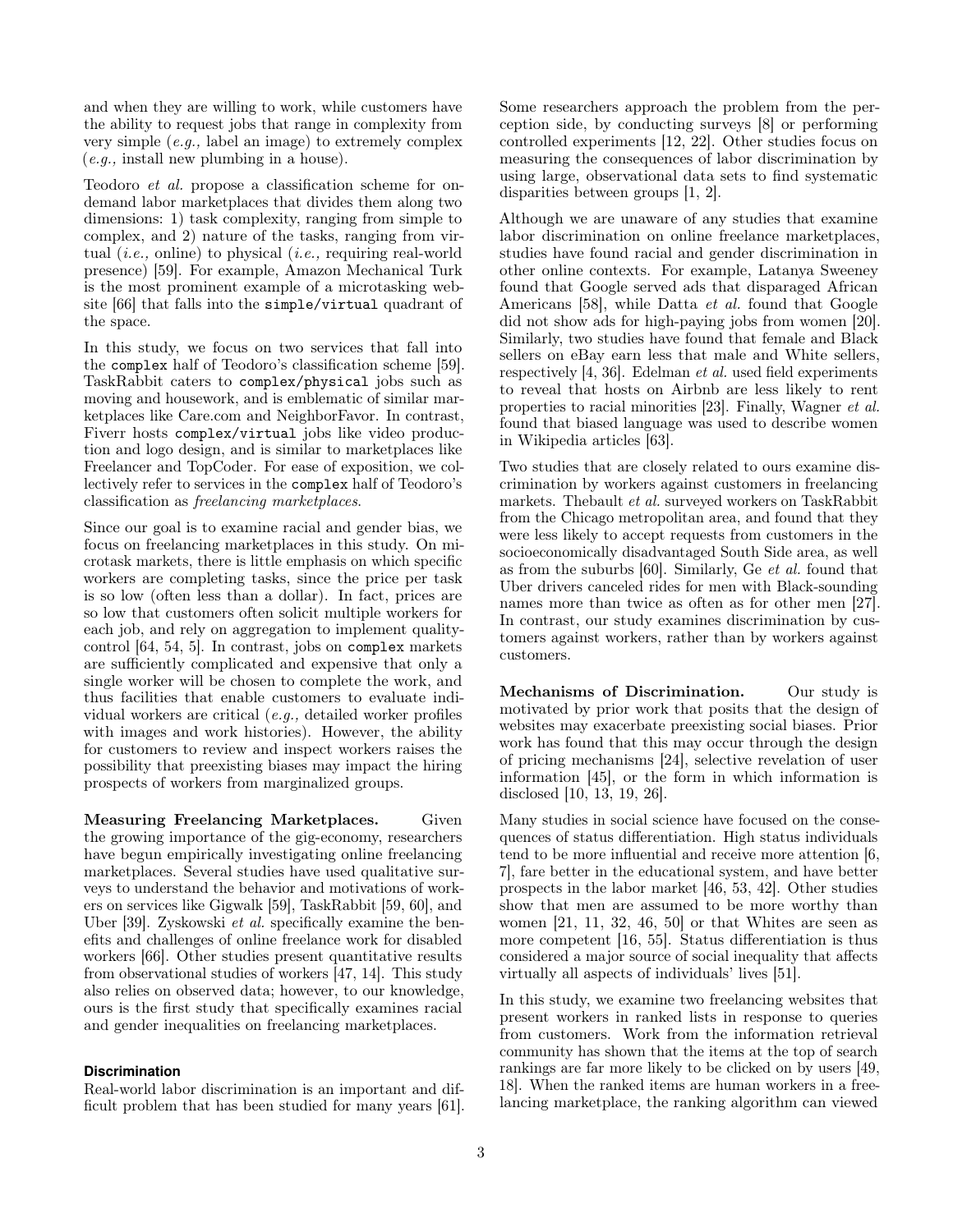and when they are willing to work, while customers have the ability to request jobs that range in complexity from very simple (e.g., label an image) to extremely complex (e.g., install new plumbing in a house).

Teodoro et al. propose a classification scheme for ondemand labor marketplaces that divides them along two dimensions: 1) task complexity, ranging from simple to complex, and 2) nature of the tasks, ranging from virtual (i.e., online) to physical (i.e., requiring real-world presence) [\[59\]](#page-15-1). For example, Amazon Mechanical Turk is the most prominent example of a microtasking website [\[66\]](#page-15-0) that falls into the simple/virtual quadrant of the space.

In this study, we focus on two services that fall into the complex half of Teodoro's classification scheme [\[59\]](#page-15-1). TaskRabbit caters to complex/physical jobs such as moving and housework, and is emblematic of similar marketplaces like Care.com and NeighborFavor. In contrast, Fiverr hosts complex/virtual jobs like video production and logo design, and is similar to marketplaces like Freelancer and TopCoder. For ease of exposition, we collectively refer to services in the complex half of Teodoro's classification as freelancing marketplaces.

Since our goal is to examine racial and gender bias, we focus on freelancing marketplaces in this study. On microtask markets, there is little emphasis on which specific workers are completing tasks, since the price per task is so low (often less than a dollar). In fact, prices are so low that customers often solicit multiple workers for each job, and rely on aggregation to implement qualitycontrol [\[64,](#page-15-6) [54,](#page-15-7) [5\]](#page-14-8). In contrast, jobs on complex markets are sufficiently complicated and expensive that only a single worker will be chosen to complete the work, and thus facilities that enable customers to evaluate individual workers are critical (e.g., detailed worker profiles with images and work histories). However, the ability for customers to review and inspect workers raises the possibility that preexisting biases may impact the hiring prospects of workers from marginalized groups.

Measuring Freelancing Marketplaces. Given the growing importance of the gig-economy, researchers have begun empirically investigating online freelancing marketplaces. Several studies have used qualitative surveys to understand the behavior and motivations of workers on services like Gigwalk [\[59\]](#page-15-1), TaskRabbit [\[59,](#page-15-1) [60\]](#page-15-8), and Uber [\[39\]](#page-14-9). Zyskowski et al. specifically examine the benefits and challenges of online freelance work for disabled workers [\[66\]](#page-15-0). Other studies present quantitative results from observational studies of workers [\[47,](#page-15-9) [14\]](#page-14-10). This study also relies on observed data; however, to our knowledge, ours is the first study that specifically examines racial and gender inequalities on freelancing marketplaces.

# **Discrimination**

Real-world labor discrimination is an important and difficult problem that has been studied for many years [\[61\]](#page-15-10). Some researchers approach the problem from the perception side, by conducting surveys [\[8\]](#page-14-5) or performing controlled experiments [\[12,](#page-14-3) [22\]](#page-14-4). Other studies focus on measuring the consequences of labor discrimination by using large, observational data sets to find systematic disparities between groups [\[1,](#page-13-0) [2\]](#page-13-1).

Although we are unaware of any studies that examine labor discrimination on online freelance marketplaces, studies have found racial and gender discrimination in other online contexts. For example, Latanya Sweeney found that Google served ads that disparaged African Americans [\[58\]](#page-15-3), while Datta et al. found that Google did not show ads for high-paying jobs from women [\[20\]](#page-14-11). Similarly, two studies have found that female and Black sellers on eBay earn less that male and White sellers, respectively [\[4,](#page-13-2) [36\]](#page-14-12). Edelman et al. used field experiments to reveal that hosts on Airbnb are less likely to rent properties to racial minorities [\[23\]](#page-14-6). Finally, Wagner et al. found that biased language was used to describe women in Wikipedia articles [\[63\]](#page-15-11).

Two studies that are closely related to ours examine discrimination by workers against customers in freelancing markets. Thebault et al. surveyed workers on TaskRabbit from the Chicago metropolitan area, and found that they were less likely to accept requests from customers in the socioeconomically disadvantaged South Side area, as well as from the suburbs [\[60\]](#page-15-8). Similarly, Ge et al. found that Uber drivers canceled rides for men with Black-sounding names more than twice as often as for other men [\[27\]](#page-14-13). In contrast, our study examines discrimination by customers against workers, rather than by workers against customers.

Mechanisms of Discrimination. Our study is motivated by prior work that posits that the design of websites may exacerbate preexisting social biases. Prior work has found that this may occur through the design of pricing mechanisms [\[24\]](#page-14-14), selective revelation of user information [\[45\]](#page-15-12), or the form in which information is disclosed [\[10,](#page-14-15) [13,](#page-14-16) [19,](#page-14-17) [26\]](#page-14-18).

Many studies in social science have focused on the consequences of status differentiation. High status individuals tend to be more influential and receive more attention [\[6,](#page-14-19) [7\]](#page-14-20), fare better in the educational system, and have better prospects in the labor market [\[46,](#page-15-13) [53,](#page-15-14) [42\]](#page-15-15). Other studies show that men are assumed to be more worthy than women  $[21, 11, 32, 46, 50]$  $[21, 11, 32, 46, 50]$  $[21, 11, 32, 46, 50]$  $[21, 11, 32, 46, 50]$  $[21, 11, 32, 46, 50]$  $[21, 11, 32, 46, 50]$  $[21, 11, 32, 46, 50]$  $[21, 11, 32, 46, 50]$  $[21, 11, 32, 46, 50]$  or that Whites are seen as more competent [\[16,](#page-14-24) [55\]](#page-15-17). Status differentiation is thus considered a major source of social inequality that affects virtually all aspects of individuals' lives [\[51\]](#page-15-18).

In this study, we examine two freelancing websites that present workers in ranked lists in response to queries from customers. Work from the information retrieval community has shown that the items at the top of search rankings are far more likely to be clicked on by users [\[49,](#page-15-4) [18\]](#page-14-7). When the ranked items are human workers in a freelancing marketplace, the ranking algorithm can viewed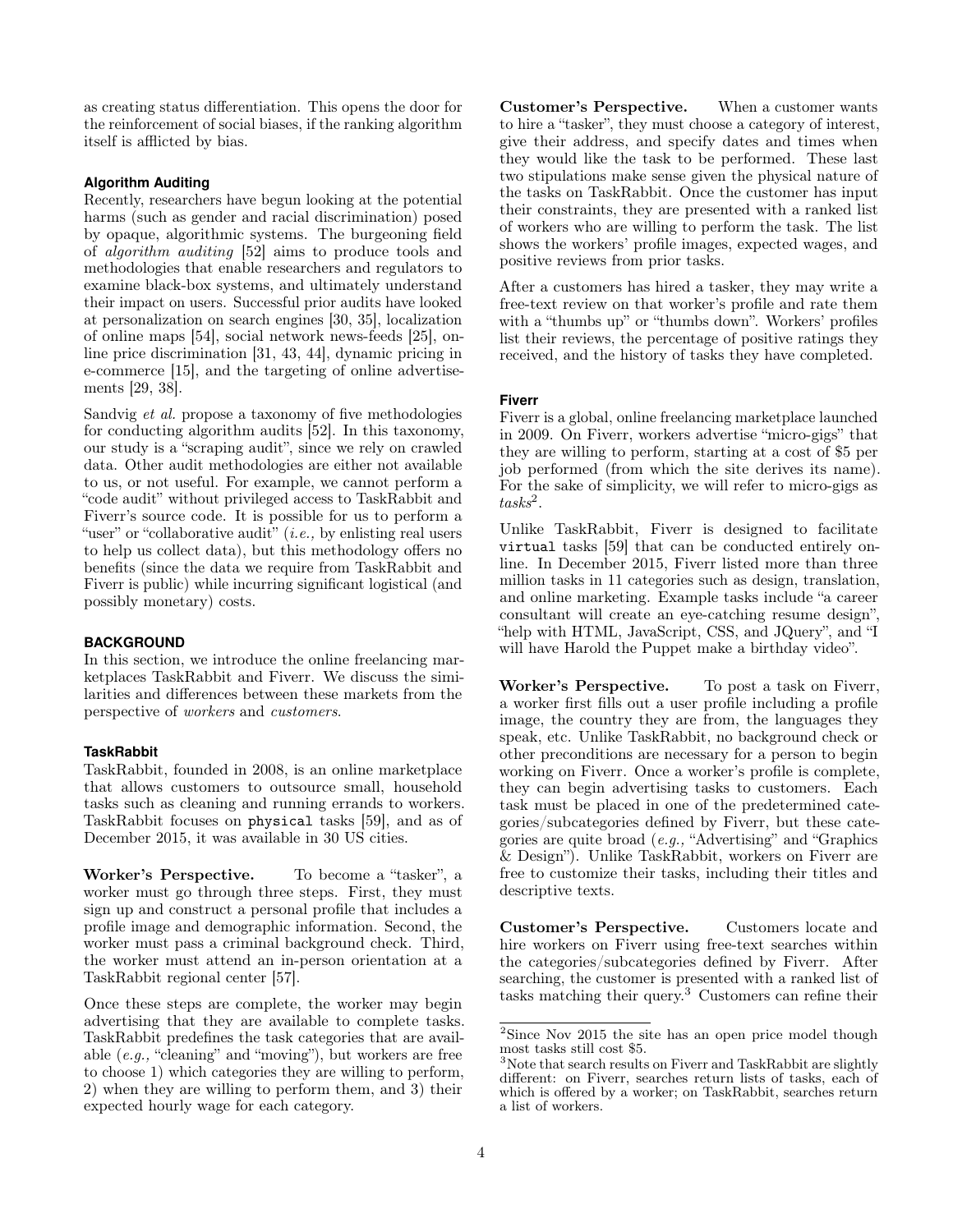as creating status differentiation. This opens the door for the reinforcement of social biases, if the ranking algorithm itself is afflicted by bias.

# **Algorithm Auditing**

Recently, researchers have begun looking at the potential harms (such as gender and racial discrimination) posed by opaque, algorithmic systems. The burgeoning field of algorithm auditing [\[52\]](#page-15-19) aims to produce tools and methodologies that enable researchers and regulators to examine black-box systems, and ultimately understand their impact on users. Successful prior audits have looked at personalization on search engines [\[30,](#page-14-25) [35\]](#page-14-26), localization of online maps [\[54\]](#page-15-7), social network news-feeds [\[25\]](#page-14-27), online price discrimination [\[31,](#page-14-28) [43,](#page-15-20) [44\]](#page-15-21), dynamic pricing in e-commerce [\[15\]](#page-14-29), and the targeting of online advertisements [\[29,](#page-14-30) [38\]](#page-14-31).

Sandvig *et al.* propose a taxonomy of five methodologies for conducting algorithm audits [\[52\]](#page-15-19). In this taxonomy, our study is a "scraping audit", since we rely on crawled data. Other audit methodologies are either not available to us, or not useful. For example, we cannot perform a "code audit" without privileged access to TaskRabbit and Fiverr's source code. It is possible for us to perform a "user" or "collaborative audit"  $(i.e.,$  by enlisting real users to help us collect data), but this methodology offers no benefits (since the data we require from TaskRabbit and Fiverr is public) while incurring significant logistical (and possibly monetary) costs.

# **BACKGROUND**

In this section, we introduce the online freelancing marketplaces TaskRabbit and Fiverr. We discuss the similarities and differences between these markets from the perspective of workers and customers.

# **TaskRabbit**

TaskRabbit, founded in 2008, is an online marketplace that allows customers to outsource small, household tasks such as cleaning and running errands to workers. TaskRabbit focuses on physical tasks [\[59\]](#page-15-1), and as of December 2015, it was available in 30 US cities.

Worker's Perspective. To become a "tasker", a worker must go through three steps. First, they must sign up and construct a personal profile that includes a profile image and demographic information. Second, the worker must pass a criminal background check. Third, the worker must attend an in-person orientation at a TaskRabbit regional center [\[57\]](#page-15-22).

Once these steps are complete, the worker may begin advertising that they are available to complete tasks. TaskRabbit predefines the task categories that are available  $(e,q, "cleaning"$  and "moving"), but workers are free to choose 1) which categories they are willing to perform, 2) when they are willing to perform them, and 3) their expected hourly wage for each category.

Customer's Perspective. When a customer wants to hire a "tasker", they must choose a category of interest, give their address, and specify dates and times when they would like the task to be performed. These last two stipulations make sense given the physical nature of the tasks on TaskRabbit. Once the customer has input their constraints, they are presented with a ranked list of workers who are willing to perform the task. The list shows the workers' profile images, expected wages, and positive reviews from prior tasks.

After a customers has hired a tasker, they may write a free-text review on that worker's profile and rate them with a "thumbs up" or "thumbs down". Workers' profiles list their reviews, the percentage of positive ratings they received, and the history of tasks they have completed.

# **Fiverr**

Fiverr is a global, online freelancing marketplace launched in 2009. On Fiverr, workers advertise "micro-gigs" that they are willing to perform, starting at a cost of \$5 per job performed (from which the site derives its name). For the sake of simplicity, we will refer to micro-gigs as  $tasks<sup>2</sup>$  $tasks<sup>2</sup>$  $tasks<sup>2</sup>$ .

Unlike TaskRabbit, Fiverr is designed to facilitate virtual tasks [\[59\]](#page-15-1) that can be conducted entirely online. In December 2015, Fiverr listed more than three million tasks in 11 categories such as design, translation, and online marketing. Example tasks include "a career consultant will create an eye-catching resume design", "help with HTML, JavaScript, CSS, and JQuery", and "I will have Harold the Puppet make a birthday video".

Worker's Perspective. To post a task on Fiverr, a worker first fills out a user profile including a profile image, the country they are from, the languages they speak, etc. Unlike TaskRabbit, no background check or other preconditions are necessary for a person to begin working on Fiverr. Once a worker's profile is complete, they can begin advertising tasks to customers. Each task must be placed in one of the predetermined categories/subcategories defined by Fiverr, but these categories are quite broad (e.g., "Advertising" and "Graphics & Design"). Unlike TaskRabbit, workers on Fiverr are free to customize their tasks, including their titles and descriptive texts.

Customer's Perspective. Customers locate and hire workers on Fiverr using free-text searches within the categories/subcategories defined by Fiverr. After searching, the customer is presented with a ranked list of tasks matching their query.[3](#page-3-1) Customers can refine their

<span id="page-3-0"></span> $^{2}\mathrm{Since}$  Nov 2015 the site has an open price model though most tasks still cost \$5.

<span id="page-3-1"></span><sup>&</sup>lt;sup>3</sup>Note that search results on Fiverr and TaskRabbit are slightly different: on Fiverr, searches return lists of tasks, each of which is offered by a worker; on TaskRabbit, searches return a list of workers.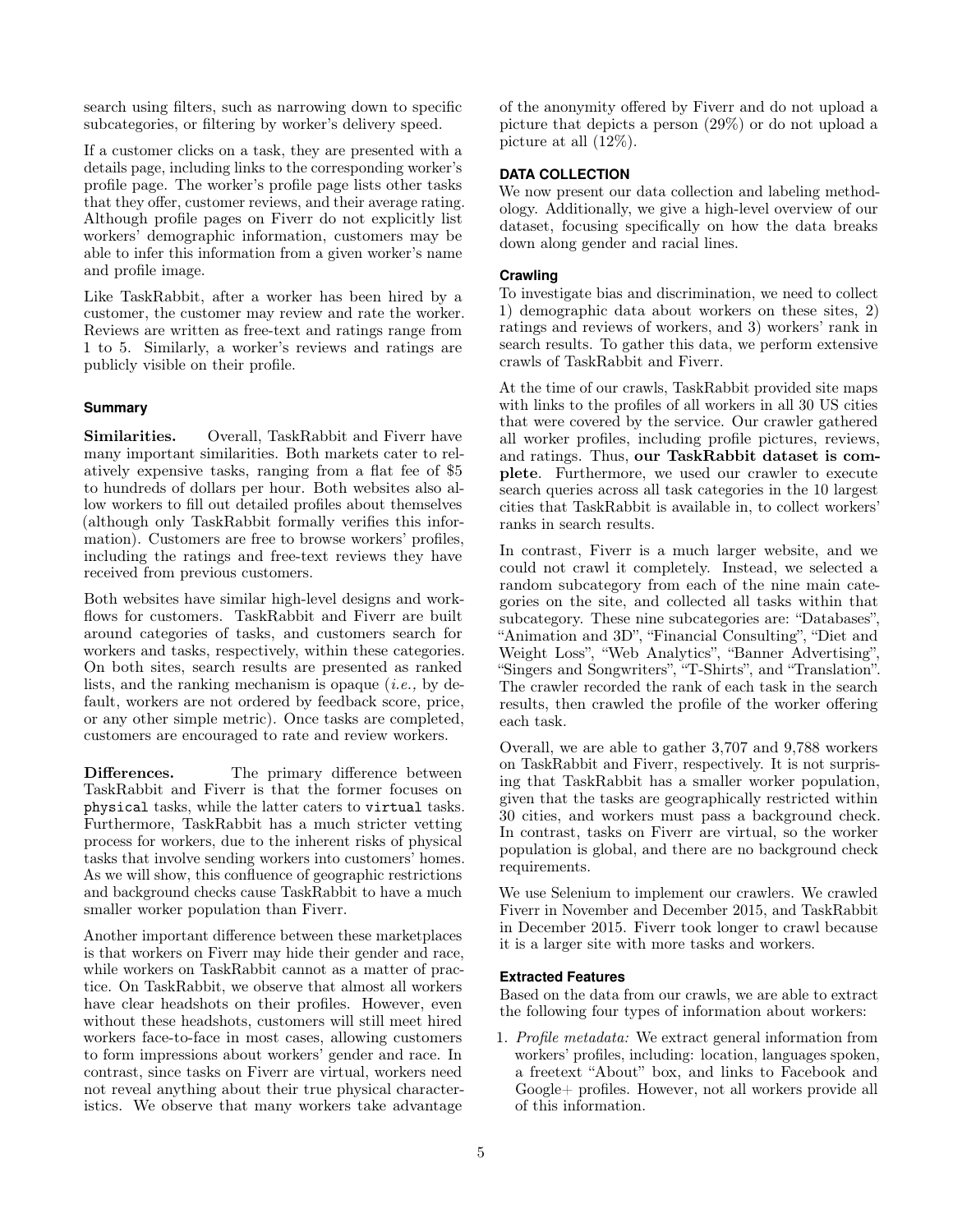search using filters, such as narrowing down to specific subcategories, or filtering by worker's delivery speed.

If a customer clicks on a task, they are presented with a details page, including links to the corresponding worker's profile page. The worker's profile page lists other tasks that they offer, customer reviews, and their average rating. Although profile pages on Fiverr do not explicitly list workers' demographic information, customers may be able to infer this information from a given worker's name and profile image.

Like TaskRabbit, after a worker has been hired by a customer, the customer may review and rate the worker. Reviews are written as free-text and ratings range from 1 to 5. Similarly, a worker's reviews and ratings are publicly visible on their profile.

# **Summary**

Similarities. Overall, TaskRabbit and Fiverr have many important similarities. Both markets cater to relatively expensive tasks, ranging from a flat fee of \$5 to hundreds of dollars per hour. Both websites also allow workers to fill out detailed profiles about themselves (although only TaskRabbit formally verifies this information). Customers are free to browse workers' profiles, including the ratings and free-text reviews they have received from previous customers.

Both websites have similar high-level designs and workflows for customers. TaskRabbit and Fiverr are built around categories of tasks, and customers search for workers and tasks, respectively, within these categories. On both sites, search results are presented as ranked lists, and the ranking mechanism is opaque  $(i.e.,$  by default, workers are not ordered by feedback score, price, or any other simple metric). Once tasks are completed, customers are encouraged to rate and review workers.

Differences. The primary difference between TaskRabbit and Fiverr is that the former focuses on physical tasks, while the latter caters to virtual tasks. Furthermore, TaskRabbit has a much stricter vetting process for workers, due to the inherent risks of physical tasks that involve sending workers into customers' homes. As we will show, this confluence of geographic restrictions and background checks cause TaskRabbit to have a much smaller worker population than Fiverr.

Another important difference between these marketplaces is that workers on Fiverr may hide their gender and race, while workers on TaskRabbit cannot as a matter of practice. On TaskRabbit, we observe that almost all workers have clear headshots on their profiles. However, even without these headshots, customers will still meet hired workers face-to-face in most cases, allowing customers to form impressions about workers' gender and race. In contrast, since tasks on Fiverr are virtual, workers need not reveal anything about their true physical characteristics. We observe that many workers take advantage

of the anonymity offered by Fiverr and do not upload a picture that depicts a person (29%) or do not upload a picture at all (12%).

# **DATA COLLECTION**

We now present our data collection and labeling methodology. Additionally, we give a high-level overview of our dataset, focusing specifically on how the data breaks down along gender and racial lines.

# **Crawling**

To investigate bias and discrimination, we need to collect 1) demographic data about workers on these sites, 2) ratings and reviews of workers, and 3) workers' rank in search results. To gather this data, we perform extensive crawls of TaskRabbit and Fiverr.

At the time of our crawls, TaskRabbit provided site maps with links to the profiles of all workers in all 30 US cities that were covered by the service. Our crawler gathered all worker profiles, including profile pictures, reviews, and ratings. Thus, our TaskRabbit dataset is complete. Furthermore, we used our crawler to execute search queries across all task categories in the 10 largest cities that TaskRabbit is available in, to collect workers' ranks in search results.

In contrast, Fiverr is a much larger website, and we could not crawl it completely. Instead, we selected a random subcategory from each of the nine main categories on the site, and collected all tasks within that subcategory. These nine subcategories are: "Databases", "Animation and 3D", "Financial Consulting", "Diet and Weight Loss", "Web Analytics", "Banner Advertising", "Singers and Songwriters", "T-Shirts", and "Translation". The crawler recorded the rank of each task in the search results, then crawled the profile of the worker offering each task.

Overall, we are able to gather 3,707 and 9,788 workers on TaskRabbit and Fiverr, respectively. It is not surprising that TaskRabbit has a smaller worker population, given that the tasks are geographically restricted within 30 cities, and workers must pass a background check. In contrast, tasks on Fiverr are virtual, so the worker population is global, and there are no background check requirements.

We use Selenium to implement our crawlers. We crawled Fiverr in November and December 2015, and TaskRabbit in December 2015. Fiverr took longer to crawl because it is a larger site with more tasks and workers.

# **Extracted Features**

Based on the data from our crawls, we are able to extract the following four types of information about workers:

1. Profile metadata: We extract general information from workers' profiles, including: location, languages spoken, a freetext "About" box, and links to Facebook and Google+ profiles. However, not all workers provide all of this information.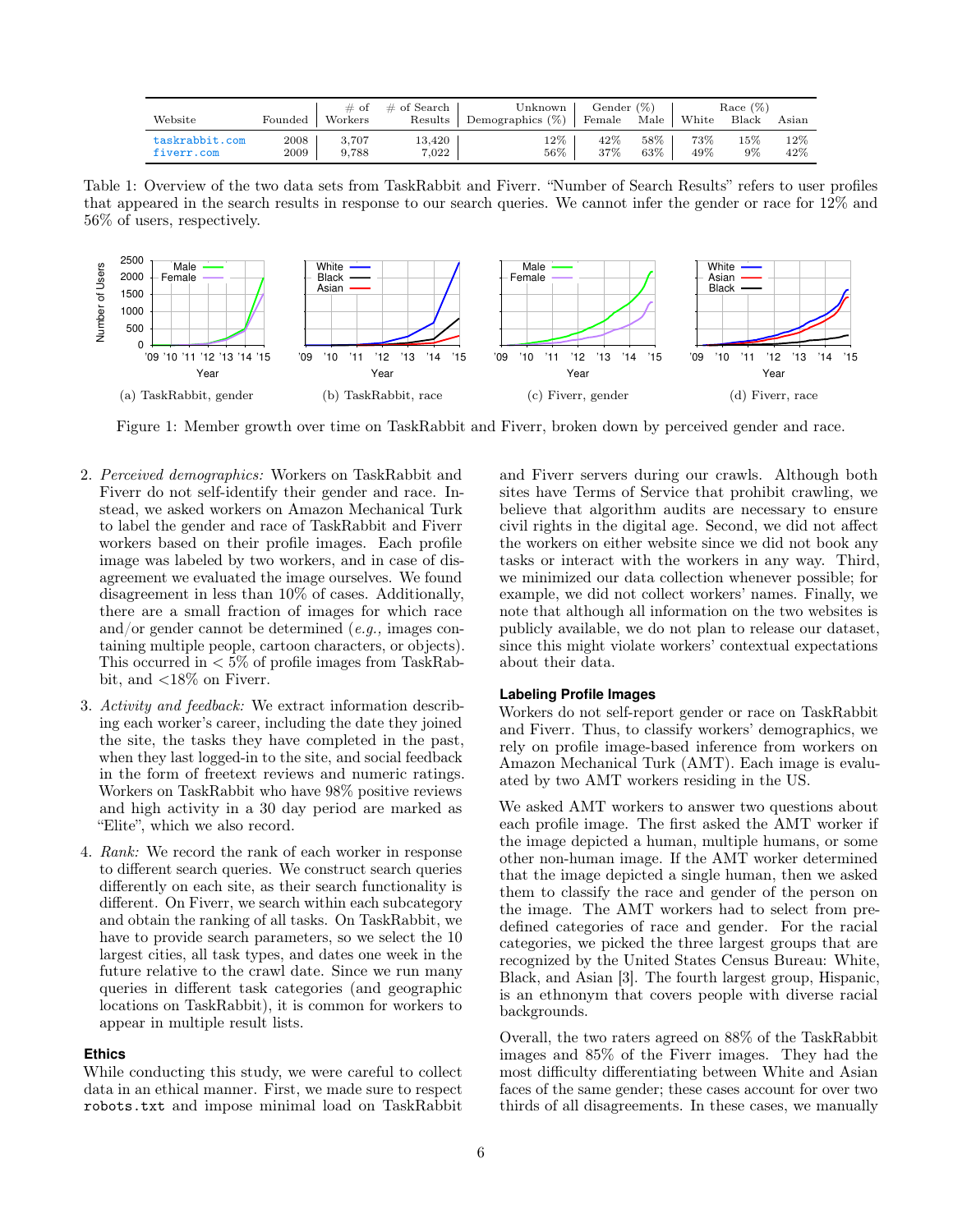<span id="page-5-0"></span>

|                              |              | # of           | $\#$ of Search  | Unknown          | Gender $(\%)$       |            |            | Race $(\%)$  |             |
|------------------------------|--------------|----------------|-----------------|------------------|---------------------|------------|------------|--------------|-------------|
| Website                      | Founded      | Workers        | Results         | Demographics (%) | Female Male   White |            |            | Black        | Asian       |
| taskrabbit.com<br>fiverr.com | 2008<br>2009 | 3.707<br>9,788 | 13,420<br>7,022 | $12\%$<br>56%    | 42%<br>37%          | 58%<br>63% | 73%<br>49% | $15\%$<br>9% | 12%<br>42\% |

Table 1: Overview of the two data sets from TaskRabbit and Fiverr. "Number of Search Results" refers to user profiles that appeared in the search results in response to our search queries. We cannot infer the gender or race for 12% and 56% of users, respectively.

<span id="page-5-1"></span>

Figure 1: Member growth over time on TaskRabbit and Fiverr, broken down by perceived gender and race.

- 2. Perceived demographics: Workers on TaskRabbit and Fiverr do not self-identify their gender and race. Instead, we asked workers on Amazon Mechanical Turk to label the gender and race of TaskRabbit and Fiverr workers based on their profile images. Each profile image was labeled by two workers, and in case of disagreement we evaluated the image ourselves. We found disagreement in less than 10% of cases. Additionally, there are a small fraction of images for which race and/or gender cannot be determined (e.g., images containing multiple people, cartoon characters, or objects). This occurred in  $\lt 5\%$  of profile images from TaskRabbit, and <18% on Fiverr.
- 3. Activity and feedback: We extract information describing each worker's career, including the date they joined the site, the tasks they have completed in the past, when they last logged-in to the site, and social feedback in the form of freetext reviews and numeric ratings. Workers on TaskRabbit who have 98% positive reviews and high activity in a 30 day period are marked as "Elite", which we also record.
- 4. Rank: We record the rank of each worker in response to different search queries. We construct search queries differently on each site, as their search functionality is different. On Fiverr, we search within each subcategory and obtain the ranking of all tasks. On TaskRabbit, we have to provide search parameters, so we select the 10 largest cities, all task types, and dates one week in the future relative to the crawl date. Since we run many queries in different task categories (and geographic locations on TaskRabbit), it is common for workers to appear in multiple result lists.

#### **Ethics**

While conducting this study, we were careful to collect data in an ethical manner. First, we made sure to respect robots.txt and impose minimal load on TaskRabbit and Fiverr servers during our crawls. Although both sites have Terms of Service that prohibit crawling, we believe that algorithm audits are necessary to ensure civil rights in the digital age. Second, we did not affect the workers on either website since we did not book any tasks or interact with the workers in any way. Third, we minimized our data collection whenever possible; for example, we did not collect workers' names. Finally, we note that although all information on the two websites is publicly available, we do not plan to release our dataset, since this might violate workers' contextual expectations about their data.

# **Labeling Profile Images**

Workers do not self-report gender or race on TaskRabbit and Fiverr. Thus, to classify workers' demographics, we rely on profile image-based inference from workers on Amazon Mechanical Turk (AMT). Each image is evaluated by two AMT workers residing in the US.

We asked AMT workers to answer two questions about each profile image. The first asked the AMT worker if the image depicted a human, multiple humans, or some other non-human image. If the AMT worker determined that the image depicted a single human, then we asked them to classify the race and gender of the person on the image. The AMT workers had to select from predefined categories of race and gender. For the racial categories, we picked the three largest groups that are recognized by the United States Census Bureau: White, Black, and Asian [\[3\]](#page-13-3). The fourth largest group, Hispanic, is an ethnonym that covers people with diverse racial backgrounds.

Overall, the two raters agreed on 88% of the TaskRabbit images and 85% of the Fiverr images. They had the most difficulty differentiating between White and Asian faces of the same gender; these cases account for over two thirds of all disagreements. In these cases, we manually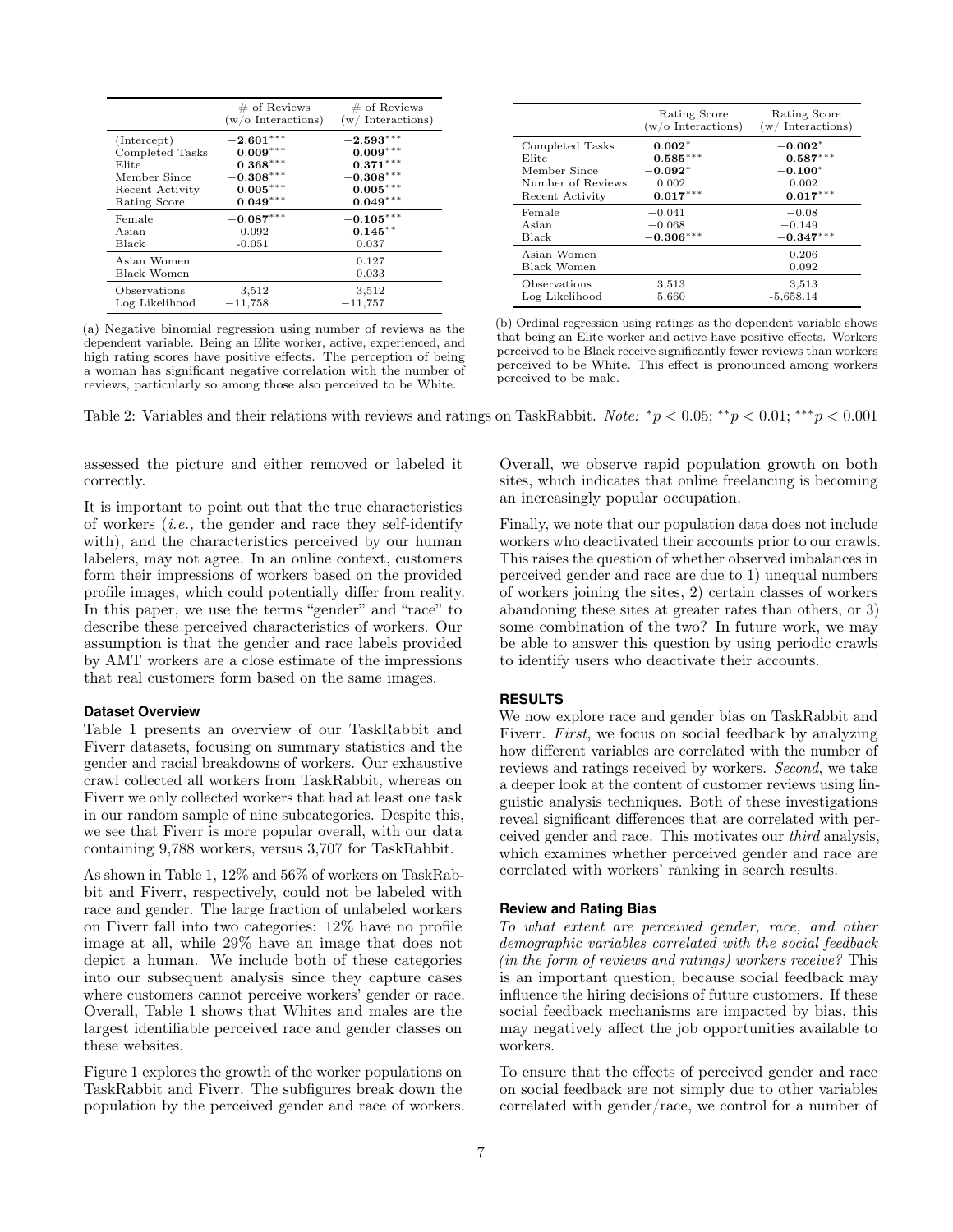<span id="page-6-0"></span>

|                            | $\#$ of Reviews<br>$(w/o)$ Interactions) | $\#$ of Reviews<br>(w / Intercations) |
|----------------------------|------------------------------------------|---------------------------------------|
| (Intercept)                | $-2.601***$                              | $-2.593***$                           |
| Completed Tasks            | $0.009***$                               | $0.009***$                            |
| Elite                      | $0.368***$                               | $0.371***$                            |
| Member Since               | $-0.308***$                              | $-0.308***$                           |
| Recent Activity            | $0.005***$                               | $0.005***$                            |
| Rating Score               | $0.049***$                               | $0.049***$                            |
| Female                     | $-0.087***$                              | $-0.105***$                           |
| Asian                      | 0.092                                    | $-0.145***$                           |
| Black                      | $-0.051$                                 | 0.037                                 |
| Asian Women<br>Black Women |                                          | 0.127<br>0.033                        |
| Observations               | 3,512                                    | 3,512                                 |
| Log Likelihood             | $-11,758$                                | $-11,757$                             |

(a) Negative binomial regression using number of reviews as the dependent variable. Being an Elite worker, active, experienced, and high rating scores have positive effects. The perception of being a woman has significant negative correlation with the number of reviews, particularly so among those also perceived to be White.

|                            | Rating Score<br>$(w/\text{o}$ Interactions) | Rating Score<br>(w / Intercations) |
|----------------------------|---------------------------------------------|------------------------------------|
| Completed Tasks            | $0.002*$                                    | $-0.002*$                          |
| Elite                      | $0.585***$                                  | $0.587***$                         |
| Member Since               | $-0.092*$                                   | $-0.100*$                          |
| Number of Reviews          | 0.002                                       | 0.002                              |
| Recent Activity            | $0.017***$                                  | $0.017***$                         |
| Female                     | $-0.041$                                    | $-0.08$                            |
| Asian                      | $-0.068$                                    | $-0.149$                           |
| Black                      | $-0.306***$                                 | $-0.347***$                        |
| Asian Women<br>Black Women |                                             | 0.206<br>0.092                     |
| Observations               | 3,513                                       | 3,513                              |
| Log Likelihood             | $-5.660$                                    | $-5,658.14$                        |

(b) Ordinal regression using ratings as the dependent variable shows that being an Elite worker and active have positive effects. Workers perceived to be Black receive significantly fewer reviews than workers perceived to be White. This effect is pronounced among workers perceived to be male.

Table 2: Variables and their relations with reviews and ratings on TaskRabbit. Note:  $^*p < 0.05; ^{**}p < 0.01; ^{***}p < 0.001$ 

assessed the picture and either removed or labeled it correctly.

It is important to point out that the true characteristics of workers  $(i.e., the gender and race they self-identity)$ with), and the characteristics perceived by our human labelers, may not agree. In an online context, customers form their impressions of workers based on the provided profile images, which could potentially differ from reality. In this paper, we use the terms "gender" and "race" to describe these perceived characteristics of workers. Our assumption is that the gender and race labels provided by AMT workers are a close estimate of the impressions that real customers form based on the same images.

#### **Dataset Overview**

Table [1](#page-5-0) presents an overview of our TaskRabbit and Fiverr datasets, focusing on summary statistics and the gender and racial breakdowns of workers. Our exhaustive crawl collected all workers from TaskRabbit, whereas on Fiverr we only collected workers that had at least one task in our random sample of nine subcategories. Despite this, we see that Fiverr is more popular overall, with our data containing 9,788 workers, versus 3,707 for TaskRabbit.

As shown in Table [1,](#page-5-0) 12% and 56% of workers on TaskRabbit and Fiverr, respectively, could not be labeled with race and gender. The large fraction of unlabeled workers on Fiverr fall into two categories: 12% have no profile image at all, while 29% have an image that does not depict a human. We include both of these categories into our subsequent analysis since they capture cases where customers cannot perceive workers' gender or race. Overall, Table [1](#page-5-0) shows that Whites and males are the largest identifiable perceived race and gender classes on these websites.

Figure [1](#page-5-1) explores the growth of the worker populations on TaskRabbit and Fiverr. The subfigures break down the population by the perceived gender and race of workers.

Overall, we observe rapid population growth on both sites, which indicates that online freelancing is becoming an increasingly popular occupation.

Finally, we note that our population data does not include workers who deactivated their accounts prior to our crawls. This raises the question of whether observed imbalances in perceived gender and race are due to 1) unequal numbers of workers joining the sites, 2) certain classes of workers abandoning these sites at greater rates than others, or 3) some combination of the two? In future work, we may be able to answer this question by using periodic crawls to identify users who deactivate their accounts.

# **RESULTS**

We now explore race and gender bias on TaskRabbit and Fiverr. First, we focus on social feedback by analyzing how different variables are correlated with the number of reviews and ratings received by workers. Second, we take a deeper look at the content of customer reviews using linguistic analysis techniques. Both of these investigations reveal significant differences that are correlated with perceived gender and race. This motivates our third analysis, which examines whether perceived gender and race are correlated with workers' ranking in search results.

# **Review and Rating Bias**

To what extent are perceived gender, race, and other demographic variables correlated with the social feedback (in the form of reviews and ratings) workers receive? This is an important question, because social feedback may influence the hiring decisions of future customers. If these social feedback mechanisms are impacted by bias, this may negatively affect the job opportunities available to workers.

To ensure that the effects of perceived gender and race on social feedback are not simply due to other variables correlated with gender/race, we control for a number of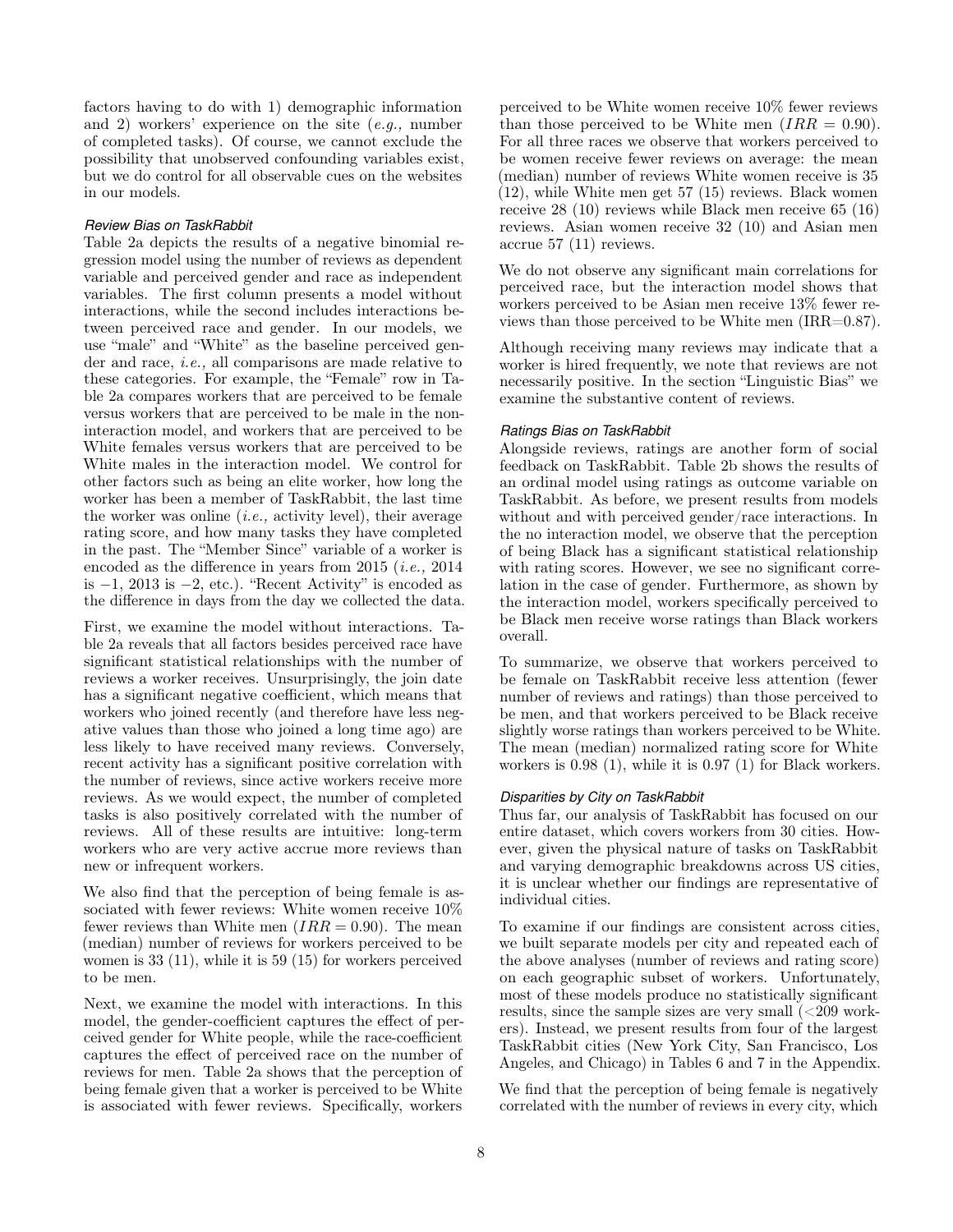factors having to do with 1) demographic information and 2) workers' experience on the site (e.g., number of completed tasks). Of course, we cannot exclude the possibility that unobserved confounding variables exist, but we do control for all observable cues on the websites in our models.

# *Review Bias on TaskRabbit*

Table [2a](#page-6-0) depicts the results of a negative binomial regression model using the number of reviews as dependent variable and perceived gender and race as independent variables. The first column presents a model without interactions, while the second includes interactions between perceived race and gender. In our models, we use "male" and "White" as the baseline perceived gender and race, i.e., all comparisons are made relative to these categories. For example, the "Female" row in Table [2a](#page-6-0) compares workers that are perceived to be female versus workers that are perceived to be male in the noninteraction model, and workers that are perceived to be White females versus workers that are perceived to be White males in the interaction model. We control for other factors such as being an elite worker, how long the worker has been a member of TaskRabbit, the last time the worker was online  $(i.e.,$  activity level), their average rating score, and how many tasks they have completed in the past. The "Member Since" variable of a worker is encoded as the difference in years from 2015 (i.e., 2014 is −1, 2013 is −2, etc.). "Recent Activity" is encoded as the difference in days from the day we collected the data.

First, we examine the model without interactions. Table [2a](#page-6-0) reveals that all factors besides perceived race have significant statistical relationships with the number of reviews a worker receives. Unsurprisingly, the join date has a significant negative coefficient, which means that workers who joined recently (and therefore have less negative values than those who joined a long time ago) are less likely to have received many reviews. Conversely, recent activity has a significant positive correlation with the number of reviews, since active workers receive more reviews. As we would expect, the number of completed tasks is also positively correlated with the number of reviews. All of these results are intuitive: long-term workers who are very active accrue more reviews than new or infrequent workers.

We also find that the perception of being female is associated with fewer reviews: White women receive 10% fewer reviews than White men  $(IRR = 0.90)$ . The mean (median) number of reviews for workers perceived to be women is 33 (11), while it is 59 (15) for workers perceived to be men.

Next, we examine the model with interactions. In this model, the gender-coefficient captures the effect of perceived gender for White people, while the race-coefficient captures the effect of perceived race on the number of reviews for men. Table [2a](#page-6-0) shows that the perception of being female given that a worker is perceived to be White is associated with fewer reviews. Specifically, workers

perceived to be White women receive 10% fewer reviews than those perceived to be White men  $(IRR = 0.90)$ . For all three races we observe that workers perceived to be women receive fewer reviews on average: the mean (median) number of reviews White women receive is 35 (12), while White men get 57 (15) reviews. Black women receive 28 (10) reviews while Black men receive 65 (16) reviews. Asian women receive 32 (10) and Asian men accrue 57 (11) reviews.

We do not observe any significant main correlations for perceived race, but the interaction model shows that workers perceived to be Asian men receive 13% fewer reviews than those perceived to be White men (IRR=0.87).

Although receiving many reviews may indicate that a worker is hired frequently, we note that reviews are not necessarily positive. In the section "Linguistic Bias" we examine the substantive content of reviews.

# *Ratings Bias on TaskRabbit*

Alongside reviews, ratings are another form of social feedback on TaskRabbit. Table [2b](#page-6-0) shows the results of an ordinal model using ratings as outcome variable on TaskRabbit. As before, we present results from models without and with perceived gender/race interactions. In the no interaction model, we observe that the perception of being Black has a significant statistical relationship with rating scores. However, we see no significant correlation in the case of gender. Furthermore, as shown by the interaction model, workers specifically perceived to be Black men receive worse ratings than Black workers overall.

To summarize, we observe that workers perceived to be female on TaskRabbit receive less attention (fewer number of reviews and ratings) than those perceived to be men, and that workers perceived to be Black receive slightly worse ratings than workers perceived to be White. The mean (median) normalized rating score for White workers is 0.98 (1), while it is 0.97 (1) for Black workers.

# *Disparities by City on TaskRabbit*

Thus far, our analysis of TaskRabbit has focused on our entire dataset, which covers workers from 30 cities. However, given the physical nature of tasks on TaskRabbit and varying demographic breakdowns across US cities, it is unclear whether our findings are representative of individual cities.

To examine if our findings are consistent across cities, we built separate models per city and repeated each of the above analyses (number of reviews and rating score) on each geographic subset of workers. Unfortunately, most of these models produce no statistically significant results, since the sample sizes are very small (<209 workers). Instead, we present results from four of the largest TaskRabbit cities (New York City, San Francisco, Los Angeles, and Chicago) in Tables [6](#page-16-0) and [7](#page-16-1) in the Appendix.

We find that the perception of being female is negatively correlated with the number of reviews in every city, which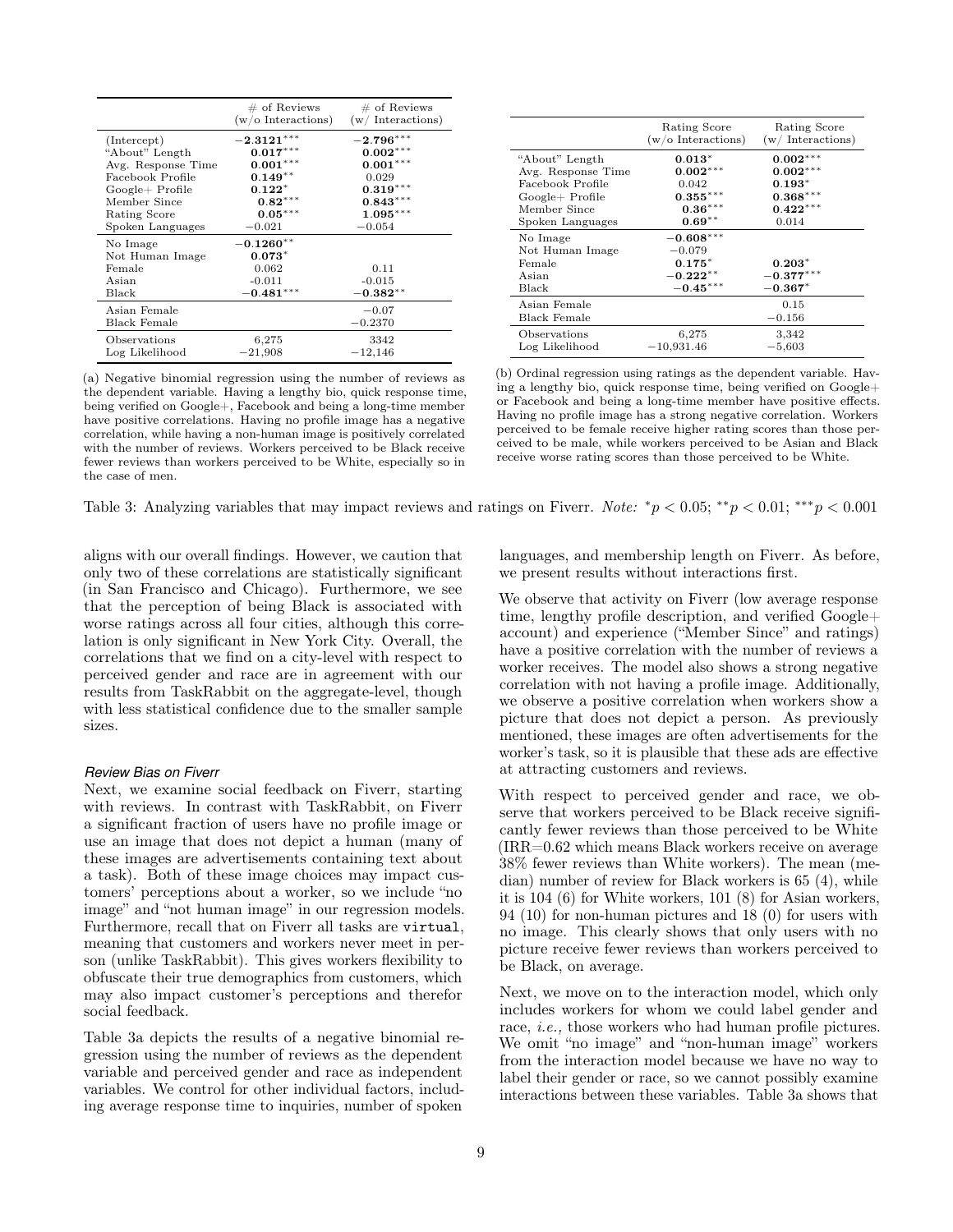<span id="page-8-0"></span>

|                     | $\#$ of Reviews<br>$(w/\text{o}$ Interactions) | $#$ of Reviews<br>(w / Intercations) |
|---------------------|------------------------------------------------|--------------------------------------|
| (Intercept)         | $-2.3121***$                                   | $-2.796***$                          |
| "About" Length      | $0.017***$                                     | $0.002***$                           |
| Avg. Response Time  | $0.001***$                                     | $0.001***$                           |
| Facebook Profile    | $0.149**$                                      | 0.029                                |
| $Google+$ Profile   | $0.122*$                                       | $0.319***$                           |
| Member Since        | $0.82***$                                      | $0.843***$                           |
| Rating Score        | $0.05***$                                      | $1.095***$                           |
| Spoken Languages    | $-0.021$                                       | $-0.054$                             |
| No Image            | $-0.1260**$                                    |                                      |
| Not Human Image     | $0.073*$                                       |                                      |
| Female              | 0.062                                          | 0.11                                 |
| Asian               | $-0.011$                                       | $-0.015$                             |
| Black               | $-0.481***$                                    | $-0.382**$                           |
| Asian Female        |                                                | $-0.07$                              |
| <b>Black Female</b> |                                                | $-0.2370$                            |
| Observations        | 6,275                                          | 3342                                 |
| Log Likelihood      | $-21,908$                                      | $-12,146$                            |

|                    | Rating Score<br>$(w/\text{o}$ Interactions) | Rating Score<br>(w / Intercations) |
|--------------------|---------------------------------------------|------------------------------------|
| "About" Length     | $0.013*$                                    | $0.002***$                         |
| Avg. Response Time | $0.002***$                                  | $0.002***$                         |
| Facebook Profile   | 0.042                                       | $0.193*$                           |
| $Google + Profile$ | $0.355***$                                  | $0.368***$                         |
| Member Since       | $0.36***$                                   | $0.422***$                         |
| Spoken Languages   | $0.69**$                                    | 0.014                              |
| No Image           | $-0.608***$                                 |                                    |
| Not Human Image    | $-0.079$                                    |                                    |
| Female             | $0.175*$                                    | $0.203*$                           |
| Asian              | $\mathbf{-0.222}^{**}$                      | $-0.377***$                        |
| Black              | $-0.45***$                                  | $-0.367*$                          |
| Asian Female       |                                             | 0.15                               |
| Black Female       |                                             | $-0.156$                           |
| Observations       | 6,275                                       | 3,342                              |
| Log Likelihood     | $-10,931.46$                                | $-5,603$                           |

(a) Negative binomial regression using the number of reviews as the dependent variable. Having a lengthy bio, quick response time, being verified on Google+, Facebook and being a long-time member have positive correlations. Having no profile image has a negative correlation, while having a non-human image is positively correlated with the number of reviews. Workers perceived to be Black receive fewer reviews than workers perceived to be White, especially so in the case of men.

(b) Ordinal regression using ratings as the dependent variable. Having a lengthy bio, quick response time, being verified on Google+ or Facebook and being a long-time member have positive effects. Having no profile image has a strong negative correlation. Workers perceived to be female receive higher rating scores than those perceived to be male, while workers perceived to be Asian and Black receive worse rating scores than those perceived to be White.

Table 3: Analyzing variables that may impact reviews and ratings on Fiverr. Note: \* $p < 0.05$ ; \*\* $p < 0.01$ ; \*\*\* $p < 0.001$ 

aligns with our overall findings. However, we caution that only two of these correlations are statistically significant (in San Francisco and Chicago). Furthermore, we see that the perception of being Black is associated with worse ratings across all four cities, although this correlation is only significant in New York City. Overall, the correlations that we find on a city-level with respect to perceived gender and race are in agreement with our results from TaskRabbit on the aggregate-level, though with less statistical confidence due to the smaller sample sizes.

#### *Review Bias on Fiverr*

Next, we examine social feedback on Fiverr, starting with reviews. In contrast with TaskRabbit, on Fiverr a significant fraction of users have no profile image or use an image that does not depict a human (many of these images are advertisements containing text about a task). Both of these image choices may impact customers' perceptions about a worker, so we include "no image" and "not human image" in our regression models. Furthermore, recall that on Fiverr all tasks are virtual, meaning that customers and workers never meet in person (unlike TaskRabbit). This gives workers flexibility to obfuscate their true demographics from customers, which may also impact customer's perceptions and therefor social feedback.

Table [3a](#page-8-0) depicts the results of a negative binomial regression using the number of reviews as the dependent variable and perceived gender and race as independent variables. We control for other individual factors, including average response time to inquiries, number of spoken

languages, and membership length on Fiverr. As before, we present results without interactions first.

We observe that activity on Fiverr (low average response time, lengthy profile description, and verified Google+ account) and experience ("Member Since" and ratings) have a positive correlation with the number of reviews a worker receives. The model also shows a strong negative correlation with not having a profile image. Additionally, we observe a positive correlation when workers show a picture that does not depict a person. As previously mentioned, these images are often advertisements for the worker's task, so it is plausible that these ads are effective at attracting customers and reviews.

With respect to perceived gender and race, we observe that workers perceived to be Black receive significantly fewer reviews than those perceived to be White (IRR=0.62 which means Black workers receive on average 38% fewer reviews than White workers). The mean (median) number of review for Black workers is 65 (4), while it is 104 (6) for White workers, 101 (8) for Asian workers, 94 (10) for non-human pictures and 18 (0) for users with no image. This clearly shows that only users with no picture receive fewer reviews than workers perceived to be Black, on average.

Next, we move on to the interaction model, which only includes workers for whom we could label gender and race, *i.e.*, those workers who had human profile pictures. We omit "no image" and "non-human image" workers from the interaction model because we have no way to label their gender or race, so we cannot possibly examine interactions between these variables. Table [3a](#page-8-0) shows that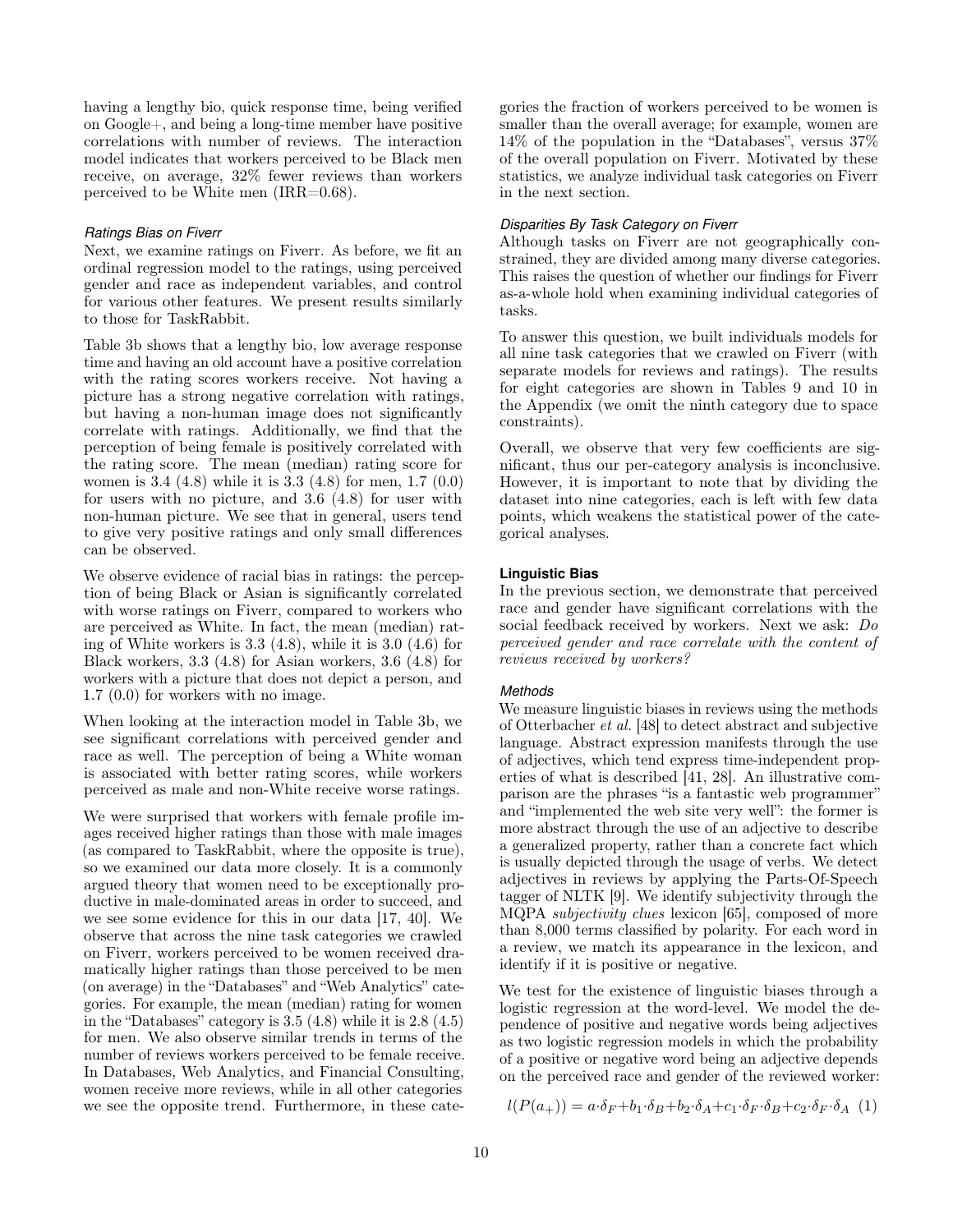having a lengthy bio, quick response time, being verified on Google+, and being a long-time member have positive correlations with number of reviews. The interaction model indicates that workers perceived to be Black men receive, on average, 32% fewer reviews than workers perceived to be White men (IRR=0.68).

#### *Ratings Bias on Fiverr*

Next, we examine ratings on Fiverr. As before, we fit an ordinal regression model to the ratings, using perceived gender and race as independent variables, and control for various other features. We present results similarly to those for TaskRabbit.

Table [3b](#page-8-0) shows that a lengthy bio, low average response time and having an old account have a positive correlation with the rating scores workers receive. Not having a picture has a strong negative correlation with ratings, but having a non-human image does not significantly correlate with ratings. Additionally, we find that the perception of being female is positively correlated with the rating score. The mean (median) rating score for women is 3.4 (4.8) while it is 3.3 (4.8) for men, 1.7 (0.0) for users with no picture, and 3.6 (4.8) for user with non-human picture. We see that in general, users tend to give very positive ratings and only small differences can be observed.

We observe evidence of racial bias in ratings: the perception of being Black or Asian is significantly correlated with worse ratings on Fiverr, compared to workers who are perceived as White. In fact, the mean (median) rating of White workers is 3.3 (4.8), while it is 3.0 (4.6) for Black workers, 3.3 (4.8) for Asian workers, 3.6 (4.8) for workers with a picture that does not depict a person, and 1.7 (0.0) for workers with no image.

When looking at the interaction model in Table [3b,](#page-8-0) we see significant correlations with perceived gender and race as well. The perception of being a White woman is associated with better rating scores, while workers perceived as male and non-White receive worse ratings.

We were surprised that workers with female profile images received higher ratings than those with male images (as compared to TaskRabbit, where the opposite is true), so we examined our data more closely. It is a commonly argued theory that women need to be exceptionally productive in male-dominated areas in order to succeed, and we see some evidence for this in our data [\[17,](#page-14-32) [40\]](#page-14-33). We observe that across the nine task categories we crawled on Fiverr, workers perceived to be women received dramatically higher ratings than those perceived to be men (on average) in the "Databases" and "Web Analytics" categories. For example, the mean (median) rating for women in the "Databases" category is  $3.5$   $(4.8)$  while it is  $2.8$   $(4.5)$ for men. We also observe similar trends in terms of the number of reviews workers perceived to be female receive. In Databases, Web Analytics, and Financial Consulting, women receive more reviews, while in all other categories we see the opposite trend. Furthermore, in these categories the fraction of workers perceived to be women is smaller than the overall average; for example, women are 14% of the population in the "Databases", versus 37% of the overall population on Fiverr. Motivated by these statistics, we analyze individual task categories on Fiverr in the next section.

# *Disparities By Task Category on Fiverr*

Although tasks on Fiverr are not geographically constrained, they are divided among many diverse categories. This raises the question of whether our findings for Fiverr as-a-whole hold when examining individual categories of tasks.

To answer this question, we built individuals models for all nine task categories that we crawled on Fiverr (with separate models for reviews and ratings). The results for eight categories are shown in Tables [9](#page-17-0) and [10](#page-17-1) in the Appendix (we omit the ninth category due to space constraints).

Overall, we observe that very few coefficients are significant, thus our per-category analysis is inconclusive. However, it is important to note that by dividing the dataset into nine categories, each is left with few data points, which weakens the statistical power of the categorical analyses.

# **Linguistic Bias**

In the previous section, we demonstrate that perceived race and gender have significant correlations with the social feedback received by workers. Next we ask: Do perceived gender and race correlate with the content of reviews received by workers?

# *Methods*

We measure linguistic biases in reviews using the methods of Otterbacher et al. [\[48\]](#page-15-23) to detect abstract and subjective language. Abstract expression manifests through the use of adjectives, which tend express time-independent properties of what is described [\[41,](#page-15-24) [28\]](#page-14-34). An illustrative comparison are the phrases "is a fantastic web programmer" and "implemented the web site very well": the former is more abstract through the use of an adjective to describe a generalized property, rather than a concrete fact which is usually depicted through the usage of verbs. We detect adjectives in reviews by applying the Parts-Of-Speech tagger of NLTK [\[9\]](#page-14-35). We identify subjectivity through the MQPA subjectivity clues lexicon [\[65\]](#page-15-25), composed of more than 8,000 terms classified by polarity. For each word in a review, we match its appearance in the lexicon, and identify if it is positive or negative.

We test for the existence of linguistic biases through a logistic regression at the word-level. We model the dependence of positive and negative words being adjectives as two logistic regression models in which the probability of a positive or negative word being an adjective depends on the perceived race and gender of the reviewed worker:

$$
l(P(a_+)) = a \cdot \delta_F + b_1 \cdot \delta_B + b_2 \cdot \delta_A + c_1 \cdot \delta_F \cdot \delta_B + c_2 \cdot \delta_F \cdot \delta_A \quad (1)
$$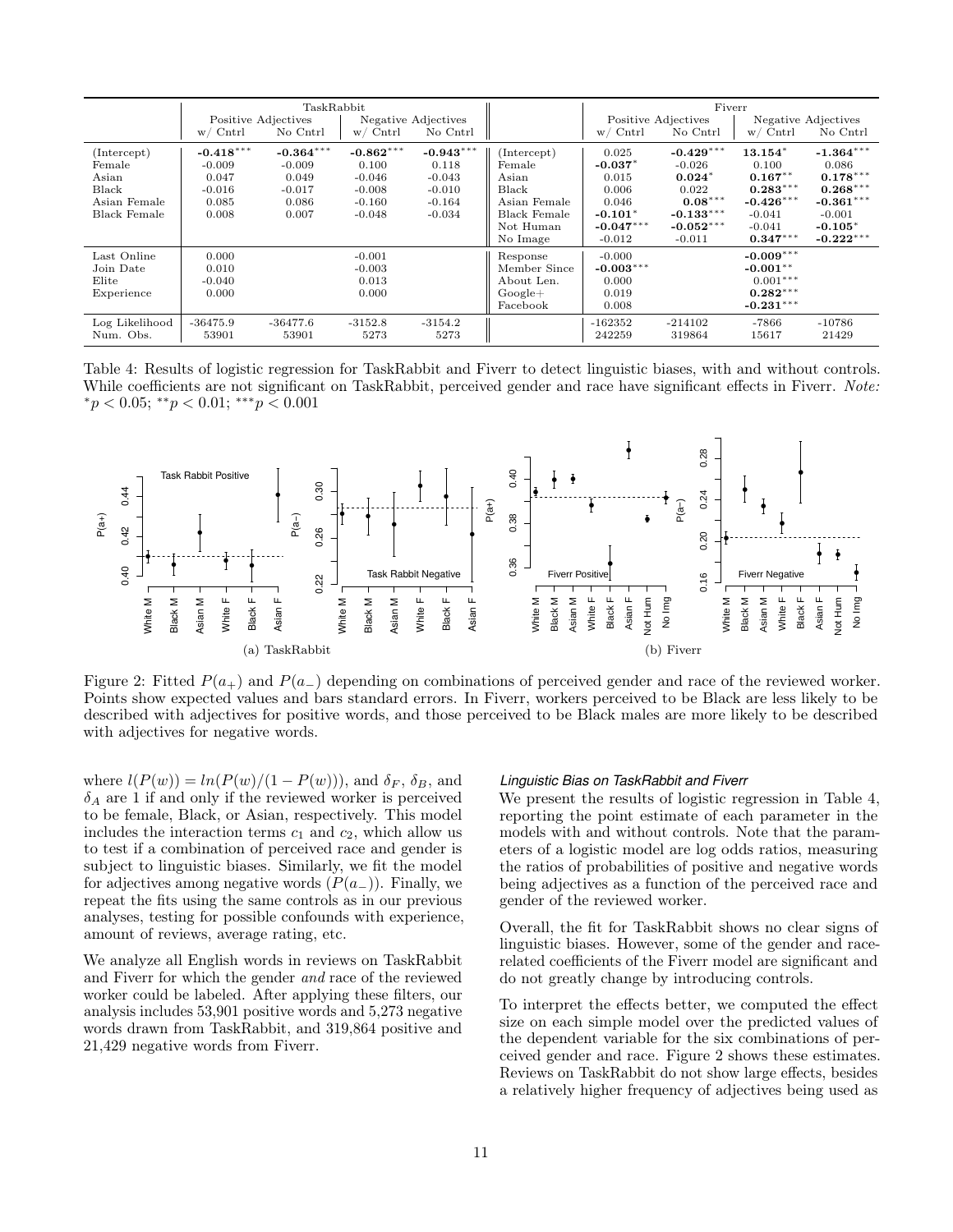<span id="page-10-0"></span>

|                                                                                | $w /$ Cntrl                                                    | TaskRabbit<br>Positive Adjectives<br>No Cntrl                  | $w /$ Cntrl                                                          | Negative Adjectives<br>No Cntrl                                      |                                                                                                         | $w /$ Cntrl                                                                           | Fiverr<br>Positive Adjectives<br>No Cntrl                                                           | Negative Adjectives<br>$w /$ Cntrl                                                                 | No Cntrl                                                                                                |
|--------------------------------------------------------------------------------|----------------------------------------------------------------|----------------------------------------------------------------|----------------------------------------------------------------------|----------------------------------------------------------------------|---------------------------------------------------------------------------------------------------------|---------------------------------------------------------------------------------------|-----------------------------------------------------------------------------------------------------|----------------------------------------------------------------------------------------------------|---------------------------------------------------------------------------------------------------------|
| (Intercept)<br>Female<br>Asian<br>Black<br>Asian Female<br><b>Black Female</b> | $-0.418***$<br>$-0.009$<br>0.047<br>$-0.016$<br>0.085<br>0.008 | $-0.364***$<br>$-0.009$<br>0.049<br>$-0.017$<br>0.086<br>0.007 | $-0.862***$<br>0.100<br>$-0.046$<br>$-0.008$<br>$-0.160$<br>$-0.048$ | $-0.943***$<br>0.118<br>$-0.043$<br>$-0.010$<br>$-0.164$<br>$-0.034$ | (Intercept)<br>Female<br>Asian<br>Black<br>Asian Female<br><b>Black Female</b><br>Not Human<br>No Image | 0.025<br>$-0.037*$<br>0.015<br>0.006<br>0.046<br>$-0.101*$<br>$-0.047***$<br>$-0.012$ | $-0.429***$<br>$-0.026$<br>$0.024*$<br>0.022<br>$0.08***$<br>$-0.133***$<br>$-0.052***$<br>$-0.011$ | $13.154*$<br>0.100<br>$0.167**$<br>$0.283***$<br>$-0.426***$<br>$-0.041$<br>$-0.041$<br>$0.347***$ | $-1.364***$<br>0.086<br>$0.178***$<br>$0.268***$<br>$-0.361***$<br>$-0.001$<br>$-0.105*$<br>$-0.222***$ |
| Last Online<br>Join Date<br>Elite<br>Experience                                | 0.000<br>0.010<br>$-0.040$<br>0.000                            |                                                                | $-0.001$<br>$-0.003$<br>0.013<br>0.000                               |                                                                      | Response<br>Member Since<br>About Len.<br>$Google+$<br>Facebook                                         | $-0.000$<br>$-0.003***$<br>0.000<br>0.019<br>0.008                                    |                                                                                                     | $-0.009***$<br>$-0.001**$<br>$0.001***$<br>$0.282***$<br>$-0.231***$                               |                                                                                                         |
| Log Likelihood<br>Num. Obs.                                                    | $-36475.9$<br>53901                                            | $-36477.6$<br>53901                                            | $-3152.8$<br>5273                                                    | $-3154.2$<br>5273                                                    |                                                                                                         | $-162352$<br>242259                                                                   | $-214102$<br>319864                                                                                 | $-7866$<br>15617                                                                                   | $-10786$<br>21429                                                                                       |

Table 4: Results of logistic regression for TaskRabbit and Fiverr to detect linguistic biases, with and without controls. While coefficients are not significant on TaskRabbit, perceived gender and race have significant effects in Fiverr. Note:  ${}^*p < 0.05;$   ${}^*p < 0.01;$   ${}^*{}^*p < 0.001$ 

<span id="page-10-1"></span>

Figure 2: Fitted  $P(a_{+})$  and  $P(a_{-})$  depending on combinations of perceived gender and race of the reviewed worker. Points show expected values and bars standard errors. In Fiverr, workers perceived to be Black are less likely to be described with adjectives for positive words, and those perceived to be Black males are more likely to be described with adjectives for negative words.

where  $l(P(w)) = ln(P(w)/(1 - P(w)))$ , and  $\delta_F$ ,  $\delta_B$ , and  $\delta_A$  are 1 if and only if the reviewed worker is perceived to be female, Black, or Asian, respectively. This model includes the interaction terms  $c_1$  and  $c_2$ , which allow us to test if a combination of perceived race and gender is subject to linguistic biases. Similarly, we fit the model for adjectives among negative words  $(P(a_$ <sub>−</sub>)). Finally, we repeat the fits using the same controls as in our previous analyses, testing for possible confounds with experience, amount of reviews, average rating, etc.

We analyze all English words in reviews on TaskRabbit and Fiverr for which the gender and race of the reviewed worker could be labeled. After applying these filters, our analysis includes 53,901 positive words and 5,273 negative words drawn from TaskRabbit, and 319,864 positive and 21,429 negative words from Fiverr.

#### *Linguistic Bias on TaskRabbit and Fiverr*

We present the results of logistic regression in Table [4,](#page-10-0) reporting the point estimate of each parameter in the models with and without controls. Note that the parameters of a logistic model are log odds ratios, measuring the ratios of probabilities of positive and negative words being adjectives as a function of the perceived race and gender of the reviewed worker.

Overall, the fit for TaskRabbit shows no clear signs of linguistic biases. However, some of the gender and racerelated coefficients of the Fiverr model are significant and do not greatly change by introducing controls.

To interpret the effects better, we computed the effect size on each simple model over the predicted values of the dependent variable for the six combinations of perceived gender and race. Figure [2](#page-10-1) shows these estimates. Reviews on TaskRabbit do not show large effects, besides a relatively higher frequency of adjectives being used as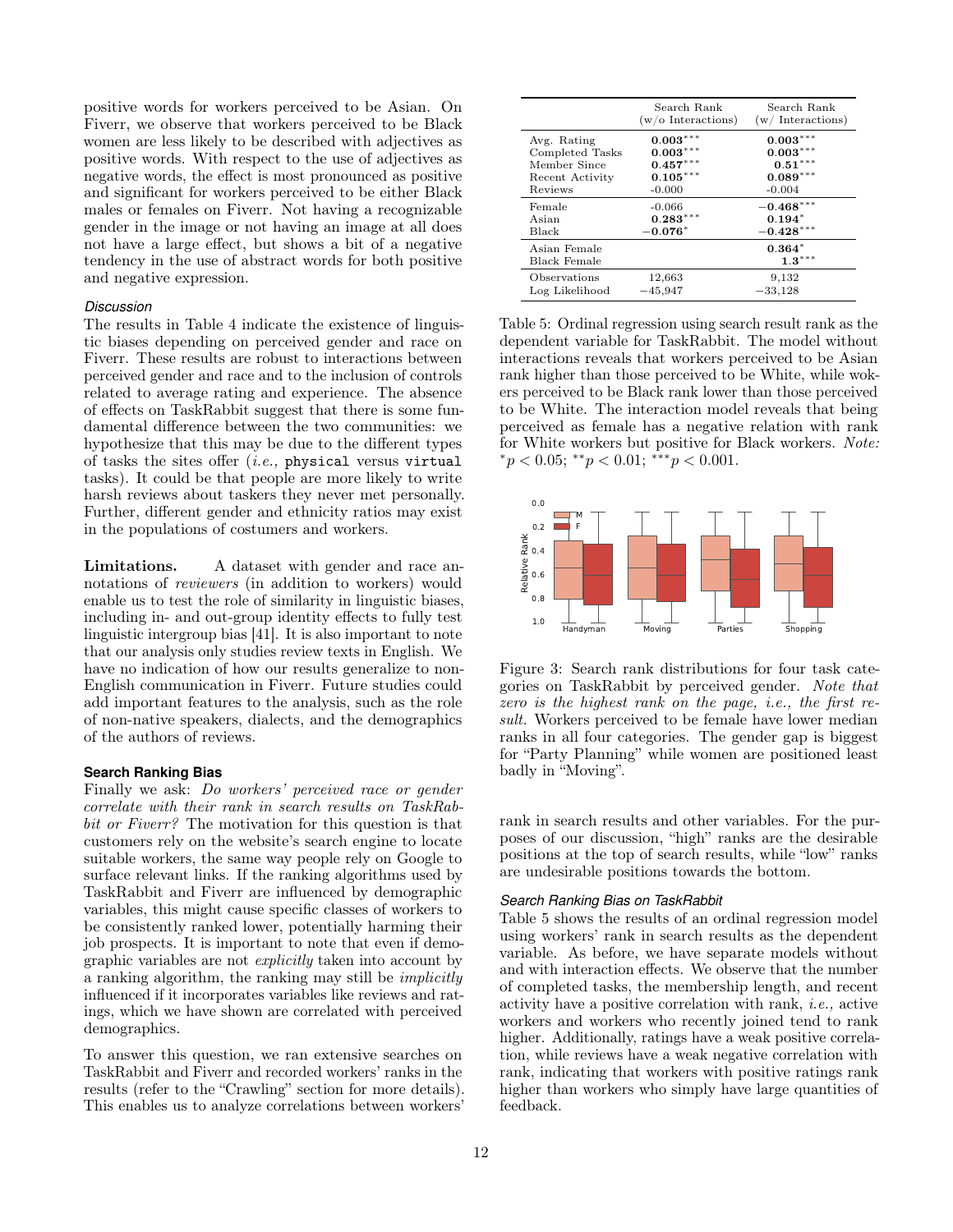positive words for workers perceived to be Asian. On Fiverr, we observe that workers perceived to be Black women are less likely to be described with adjectives as positive words. With respect to the use of adjectives as negative words, the effect is most pronounced as positive and significant for workers perceived to be either Black males or females on Fiverr. Not having a recognizable gender in the image or not having an image at all does not have a large effect, but shows a bit of a negative tendency in the use of abstract words for both positive and negative expression.

# *Discussion*

The results in Table [4](#page-10-0) indicate the existence of linguistic biases depending on perceived gender and race on Fiverr. These results are robust to interactions between perceived gender and race and to the inclusion of controls related to average rating and experience. The absence of effects on TaskRabbit suggest that there is some fundamental difference between the two communities: we hypothesize that this may be due to the different types of tasks the sites offer  $(i.e., physical versus virtual)$ tasks). It could be that people are more likely to write harsh reviews about taskers they never met personally. Further, different gender and ethnicity ratios may exist in the populations of costumers and workers.

Limitations. A dataset with gender and race annotations of reviewers (in addition to workers) would enable us to test the role of similarity in linguistic biases, including in- and out-group identity effects to fully test linguistic intergroup bias [\[41\]](#page-15-24). It is also important to note that our analysis only studies review texts in English. We have no indication of how our results generalize to non-English communication in Fiverr. Future studies could add important features to the analysis, such as the role of non-native speakers, dialects, and the demographics of the authors of reviews.

# **Search Ranking Bias**

Finally we ask: Do workers' perceived race or gender correlate with their rank in search results on TaskRabbit or Fiverr? The motivation for this question is that customers rely on the website's search engine to locate suitable workers, the same way people rely on Google to surface relevant links. If the ranking algorithms used by TaskRabbit and Fiverr are influenced by demographic variables, this might cause specific classes of workers to be consistently ranked lower, potentially harming their job prospects. It is important to note that even if demographic variables are not explicitly taken into account by a ranking algorithm, the ranking may still be implicitly influenced if it incorporates variables like reviews and ratings, which we have shown are correlated with perceived demographics.

To answer this question, we ran extensive searches on TaskRabbit and Fiverr and recorded workers' ranks in the results (refer to the "Crawling" section for more details). This enables us to analyze correlations between workers'

<span id="page-11-0"></span>

|                                     | Search Rank<br>$(w/\text{o}$ Interactions) | Search Rank<br>(w / Intercations) |
|-------------------------------------|--------------------------------------------|-----------------------------------|
| Avg. Rating                         | $0.003***$                                 | $0.003***$                        |
| Completed Tasks                     | $0.003***$                                 | $0.003***$                        |
| Member Since                        | $0.457***$                                 | $0.51***$                         |
| Recent Activity                     | $0.105***$                                 | $0.089***$                        |
| Reviews                             | $-0.000$                                   | $-0.004$                          |
| Female                              | $-0.066$                                   | $-0.468***$                       |
| Asian                               | $0.283***$                                 | $0.194*$                          |
| Black                               | $-0.076*$                                  | $-0.428***$                       |
| Asian Female<br><b>Black Female</b> |                                            | $0.364*$<br>$1.3***$              |
| Observations                        | 12,663                                     | 9,132                             |
| Log Likelihood                      | $-45,947$                                  | $-33,128$                         |

Table 5: Ordinal regression using search result rank as the dependent variable for TaskRabbit. The model without interactions reveals that workers perceived to be Asian rank higher than those perceived to be White, while wokers perceived to be Black rank lower than those perceived to be White. The interaction model reveals that being perceived as female has a negative relation with rank for White workers but positive for Black workers. Note:  ${}^*p < 0.05;$   ${}^{**}p < 0.01;$   ${}^{***}p < 0.001.$ 

<span id="page-11-1"></span>

Figure 3: Search rank distributions for four task categories on TaskRabbit by perceived gender. Note that zero is the highest rank on the page, i.e., the first result. Workers perceived to be female have lower median ranks in all four categories. The gender gap is biggest for "Party Planning" while women are positioned least badly in "Moving".

rank in search results and other variables. For the purposes of our discussion, "high" ranks are the desirable positions at the top of search results, while "low" ranks are undesirable positions towards the bottom.

# *Search Ranking Bias on TaskRabbit*

Table [5](#page-11-0) shows the results of an ordinal regression model using workers' rank in search results as the dependent variable. As before, we have separate models without and with interaction effects. We observe that the number of completed tasks, the membership length, and recent activity have a positive correlation with rank, i.e., active workers and workers who recently joined tend to rank higher. Additionally, ratings have a weak positive correlation, while reviews have a weak negative correlation with rank, indicating that workers with positive ratings rank higher than workers who simply have large quantities of feedback.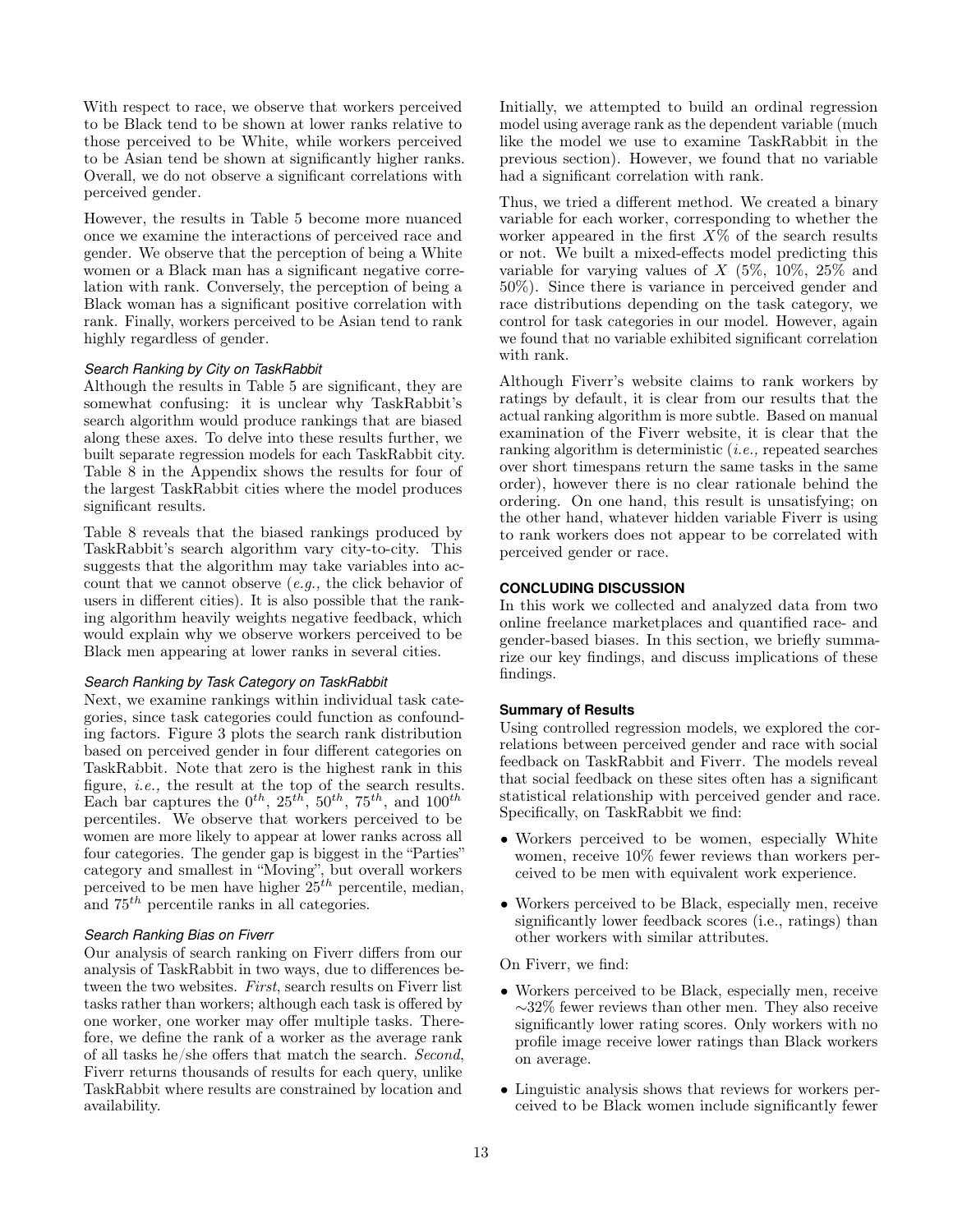With respect to race, we observe that workers perceived to be Black tend to be shown at lower ranks relative to those perceived to be White, while workers perceived to be Asian tend be shown at significantly higher ranks. Overall, we do not observe a significant correlations with perceived gender.

However, the results in Table [5](#page-11-0) become more nuanced once we examine the interactions of perceived race and gender. We observe that the perception of being a White women or a Black man has a significant negative correlation with rank. Conversely, the perception of being a Black woman has a significant positive correlation with rank. Finally, workers perceived to be Asian tend to rank highly regardless of gender.

# *Search Ranking by City on TaskRabbit*

Although the results in Table [5](#page-11-0) are significant, they are somewhat confusing: it is unclear why TaskRabbit's search algorithm would produce rankings that are biased along these axes. To delve into these results further, we built separate regression models for each TaskRabbit city. Table [8](#page-16-2) in the Appendix shows the results for four of the largest TaskRabbit cities where the model produces significant results.

Table [8](#page-16-2) reveals that the biased rankings produced by TaskRabbit's search algorithm vary city-to-city. This suggests that the algorithm may take variables into account that we cannot observe (e.g., the click behavior of users in different cities). It is also possible that the ranking algorithm heavily weights negative feedback, which would explain why we observe workers perceived to be Black men appearing at lower ranks in several cities.

# *Search Ranking by Task Category on TaskRabbit*

Next, we examine rankings within individual task categories, since task categories could function as confounding factors. Figure [3](#page-11-1) plots the search rank distribution based on perceived gender in four different categories on TaskRabbit. Note that zero is the highest rank in this figure, i.e., the result at the top of the search results. Each bar captures the  $0^{th}$ ,  $25^{th}$ ,  $50^{th}$ ,  $75^{th}$ , and  $100^{th}$ percentiles. We observe that workers perceived to be women are more likely to appear at lower ranks across all four categories. The gender gap is biggest in the "Parties" category and smallest in "Moving", but overall workers perceived to be men have higher  $25^{th}$  percentile, median, and  $75<sup>th</sup>$  percentile ranks in all categories.

# *Search Ranking Bias on Fiverr*

Our analysis of search ranking on Fiverr differs from our analysis of TaskRabbit in two ways, due to differences between the two websites. First, search results on Fiverr list tasks rather than workers; although each task is offered by one worker, one worker may offer multiple tasks. Therefore, we define the rank of a worker as the average rank of all tasks he/she offers that match the search. Second, Fiverr returns thousands of results for each query, unlike TaskRabbit where results are constrained by location and availability.

Initially, we attempted to build an ordinal regression model using average rank as the dependent variable (much like the model we use to examine TaskRabbit in the previous section). However, we found that no variable had a significant correlation with rank.

Thus, we tried a different method. We created a binary variable for each worker, corresponding to whether the worker appeared in the first  $X\%$  of the search results or not. We built a mixed-effects model predicting this variable for varying values of  $X$  (5\%, 10\%), 25\% and 50%). Since there is variance in perceived gender and race distributions depending on the task category, we control for task categories in our model. However, again we found that no variable exhibited significant correlation with rank.

Although Fiverr's website claims to rank workers by ratings by default, it is clear from our results that the actual ranking algorithm is more subtle. Based on manual examination of the Fiverr website, it is clear that the ranking algorithm is deterministic (i.e., repeated searches over short timespans return the same tasks in the same order), however there is no clear rationale behind the ordering. On one hand, this result is unsatisfying; on the other hand, whatever hidden variable Fiverr is using to rank workers does not appear to be correlated with perceived gender or race.

#### **CONCLUDING DISCUSSION**

In this work we collected and analyzed data from two online freelance marketplaces and quantified race- and gender-based biases. In this section, we briefly summarize our key findings, and discuss implications of these findings.

#### **Summary of Results**

Using controlled regression models, we explored the correlations between perceived gender and race with social feedback on TaskRabbit and Fiverr. The models reveal that social feedback on these sites often has a significant statistical relationship with perceived gender and race. Specifically, on TaskRabbit we find:

- Workers perceived to be women, especially White women, receive 10% fewer reviews than workers perceived to be men with equivalent work experience.
- Workers perceived to be Black, especially men, receive significantly lower feedback scores (i.e., ratings) than other workers with similar attributes.

On Fiverr, we find:

- Workers perceived to be Black, especially men, receive ∼32% fewer reviews than other men. They also receive significantly lower rating scores. Only workers with no profile image receive lower ratings than Black workers on average.
- Linguistic analysis shows that reviews for workers perceived to be Black women include significantly fewer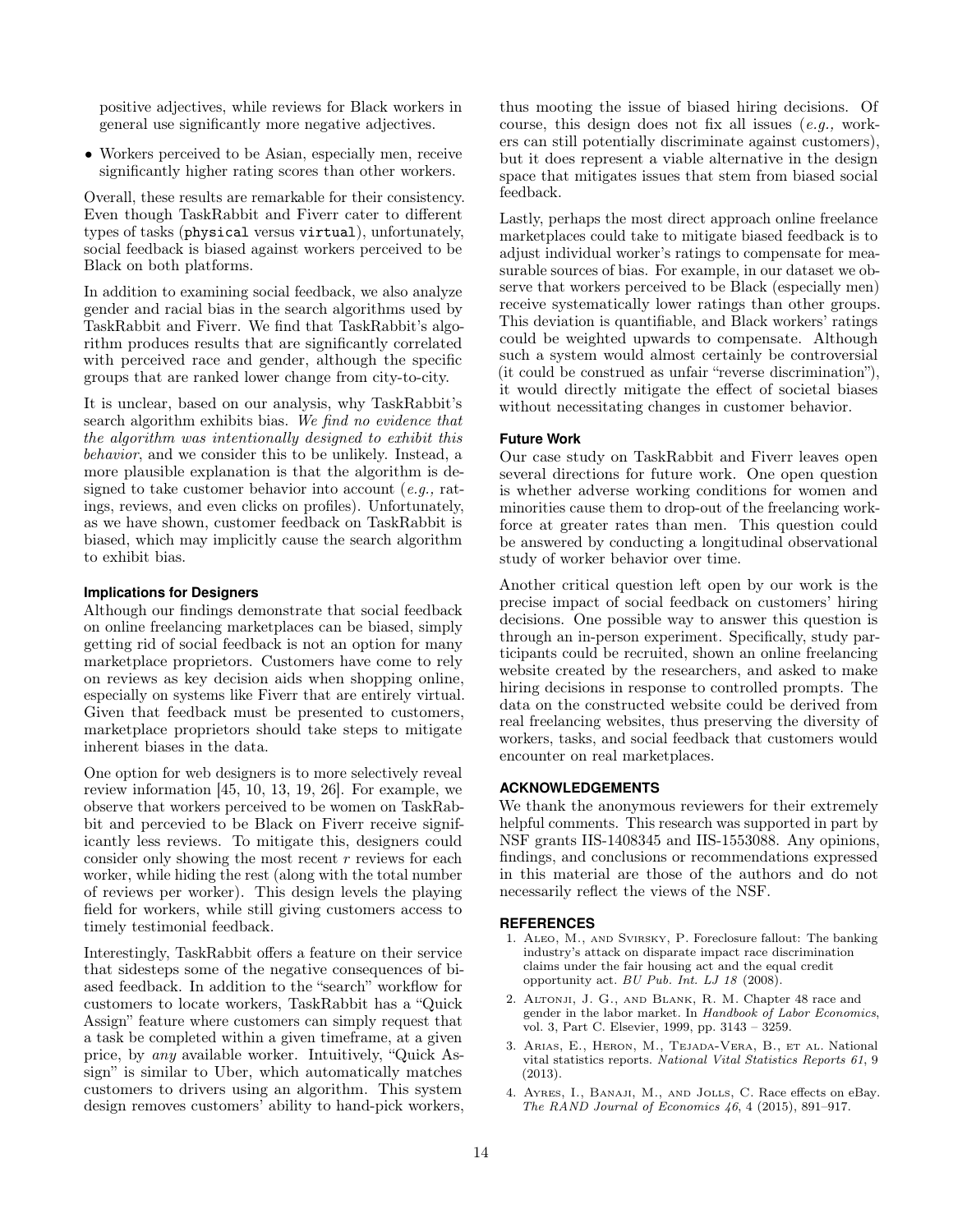positive adjectives, while reviews for Black workers in general use significantly more negative adjectives.

• Workers perceived to be Asian, especially men, receive significantly higher rating scores than other workers.

Overall, these results are remarkable for their consistency. Even though TaskRabbit and Fiverr cater to different types of tasks (physical versus virtual), unfortunately, social feedback is biased against workers perceived to be Black on both platforms.

In addition to examining social feedback, we also analyze gender and racial bias in the search algorithms used by TaskRabbit and Fiverr. We find that TaskRabbit's algorithm produces results that are significantly correlated with perceived race and gender, although the specific groups that are ranked lower change from city-to-city.

It is unclear, based on our analysis, why TaskRabbit's search algorithm exhibits bias. We find no evidence that the algorithm was intentionally designed to exhibit this behavior, and we consider this to be unlikely. Instead, a more plausible explanation is that the algorithm is designed to take customer behavior into account  $(e.g.,$  ratings, reviews, and even clicks on profiles). Unfortunately, as we have shown, customer feedback on TaskRabbit is biased, which may implicitly cause the search algorithm to exhibit bias.

# **Implications for Designers**

Although our findings demonstrate that social feedback on online freelancing marketplaces can be biased, simply getting rid of social feedback is not an option for many marketplace proprietors. Customers have come to rely on reviews as key decision aids when shopping online, especially on systems like Fiverr that are entirely virtual. Given that feedback must be presented to customers, marketplace proprietors should take steps to mitigate inherent biases in the data.

One option for web designers is to more selectively reveal review information [\[45,](#page-15-12) [10,](#page-14-15) [13,](#page-14-16) [19,](#page-14-17) [26\]](#page-14-18). For example, we observe that workers perceived to be women on TaskRabbit and percevied to be Black on Fiverr receive significantly less reviews. To mitigate this, designers could consider only showing the most recent  $r$  reviews for each worker, while hiding the rest (along with the total number of reviews per worker). This design levels the playing field for workers, while still giving customers access to timely testimonial feedback.

Interestingly, TaskRabbit offers a feature on their service that sidesteps some of the negative consequences of biased feedback. In addition to the "search" workflow for customers to locate workers, TaskRabbit has a "Quick Assign" feature where customers can simply request that a task be completed within a given timeframe, at a given price, by any available worker. Intuitively, "Quick Assign" is similar to Uber, which automatically matches customers to drivers using an algorithm. This system design removes customers' ability to hand-pick workers,

thus mooting the issue of biased hiring decisions. Of course, this design does not fix all issues (e.g., workers can still potentially discriminate against customers), but it does represent a viable alternative in the design space that mitigates issues that stem from biased social feedback.

Lastly, perhaps the most direct approach online freelance marketplaces could take to mitigate biased feedback is to adjust individual worker's ratings to compensate for measurable sources of bias. For example, in our dataset we observe that workers perceived to be Black (especially men) receive systematically lower ratings than other groups. This deviation is quantifiable, and Black workers' ratings could be weighted upwards to compensate. Although such a system would almost certainly be controversial (it could be construed as unfair "reverse discrimination"), it would directly mitigate the effect of societal biases without necessitating changes in customer behavior.

# **Future Work**

Our case study on TaskRabbit and Fiverr leaves open several directions for future work. One open question is whether adverse working conditions for women and minorities cause them to drop-out of the freelancing workforce at greater rates than men. This question could be answered by conducting a longitudinal observational study of worker behavior over time.

Another critical question left open by our work is the precise impact of social feedback on customers' hiring decisions. One possible way to answer this question is through an in-person experiment. Specifically, study participants could be recruited, shown an online freelancing website created by the researchers, and asked to make hiring decisions in response to controlled prompts. The data on the constructed website could be derived from real freelancing websites, thus preserving the diversity of workers, tasks, and social feedback that customers would encounter on real marketplaces.

# **ACKNOWLEDGEMENTS**

We thank the anonymous reviewers for their extremely helpful comments. This research was supported in part by NSF grants IIS-1408345 and IIS-1553088. Any opinions, findings, and conclusions or recommendations expressed in this material are those of the authors and do not necessarily reflect the views of the NSF.

# <span id="page-13-0"></span>**REFERENCES**

- 1. Aleo, M., and Svirsky, P. Foreclosure fallout: The banking industry's attack on disparate impact race discrimination claims under the fair housing act and the equal credit opportunity act. BU Pub. Int. LJ 18 (2008).
- <span id="page-13-1"></span>2. Altonji, J. G., and Blank, R. M. Chapter 48 race and gender in the labor market. In Handbook of Labor Economics, vol. 3, Part C. Elsevier, 1999, pp. 3143 – 3259.
- <span id="page-13-3"></span>3. Arias, E., Heron, M., Tejada-Vera, B., et al. National vital statistics reports. National Vital Statistics Reports 61, 9 (2013).
- <span id="page-13-2"></span>4. Ayres, I., Banaji, M., and Jolls, C. Race effects on eBay. The RAND Journal of Economics 46, 4 (2015), 891–917.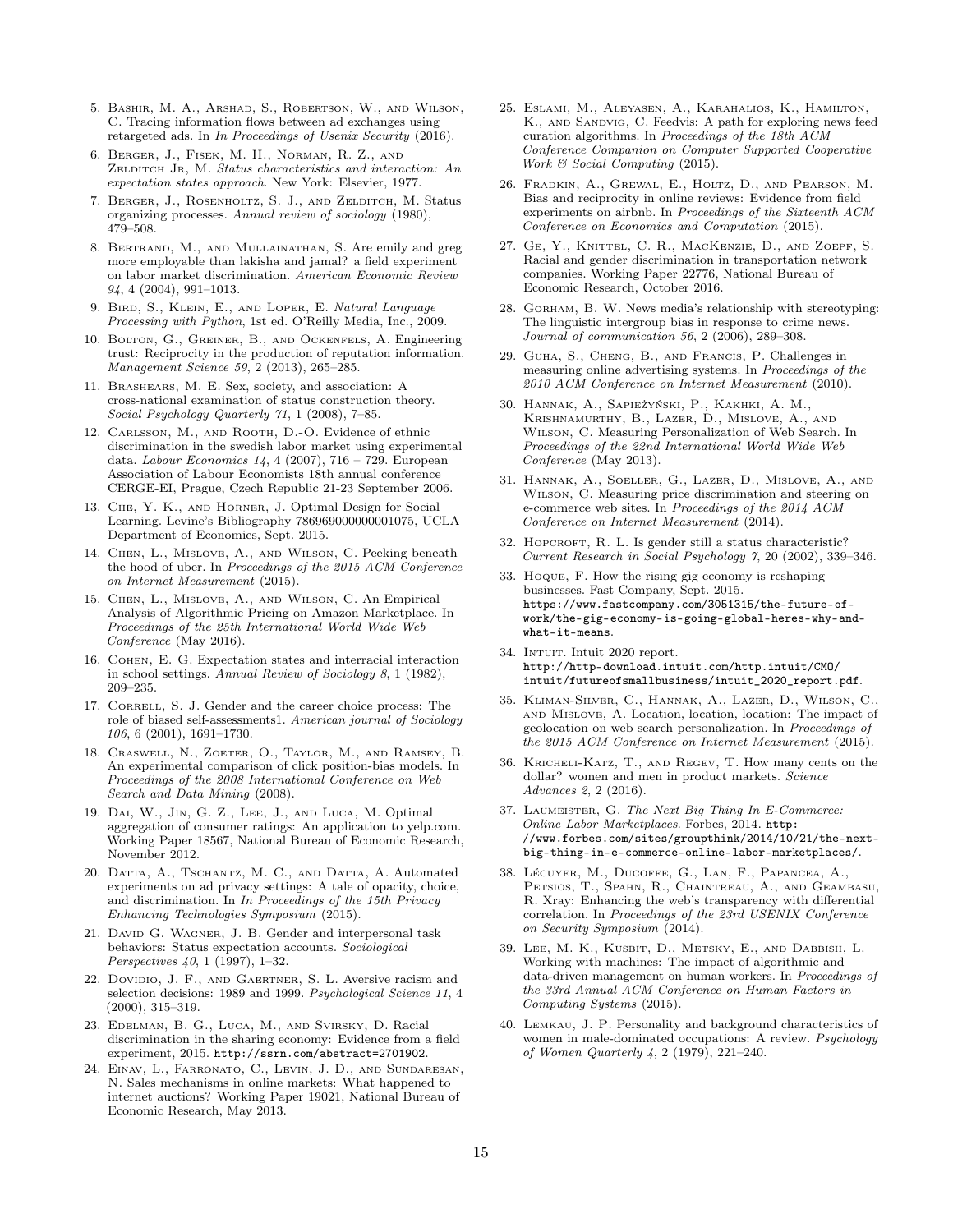- <span id="page-14-8"></span>5. Bashir, M. A., Arshad, S., Robertson, W., and Wilson, C. Tracing information flows between ad exchanges using retargeted ads. In In Proceedings of Usenix Security (2016).
- <span id="page-14-19"></span>6. Berger, J., Fisek, M. H., Norman, R. Z., and ZELDITCH JR, M. Status characteristics and interaction: An expectation states approach. New York: Elsevier, 1977.
- <span id="page-14-20"></span>7. Berger, J., Rosenholtz, S. J., and Zelditch, M. Status organizing processes. Annual review of sociology (1980), 479–508.
- <span id="page-14-5"></span>8. Bertrand, M., and Mullainathan, S. Are emily and greg more employable than lakisha and jamal? a field experiment on labor market discrimination. American Economic Review 94, 4 (2004), 991–1013.
- <span id="page-14-35"></span>9. Bird, S., Klein, E., and Loper, E. Natural Language Processing with Python, 1st ed. O'Reilly Media, Inc., 2009.
- <span id="page-14-15"></span>10. Bolton, G., Greiner, B., and Ockenfels, A. Engineering trust: Reciprocity in the production of reputation information. Management Science 59, 2 (2013), 265–285.
- <span id="page-14-22"></span>11. Brashears, M. E. Sex, society, and association: A cross-national examination of status construction theory. Social Psychology Quarterly 71, 1 (2008), 7–85.
- <span id="page-14-3"></span>12. Carlsson, M., and Rooth, D.-O. Evidence of ethnic discrimination in the swedish labor market using experimental data. *Labour Economics*  $14, 4$  (2007),  $716 - 729$ . European Association of Labour Economists 18th annual conference CERGE-EI, Prague, Czech Republic 21-23 September 2006.
- <span id="page-14-16"></span>13. Che, Y. K., and Horner, J. Optimal Design for Social Learning. Levine's Bibliography 786969000000001075, UCLA Department of Economics, Sept. 2015.
- <span id="page-14-10"></span>14. Chen, L., Mislove, A., and Wilson, C. Peeking beneath the hood of uber. In Proceedings of the 2015 ACM Conference on Internet Measurement (2015).
- <span id="page-14-29"></span>15. Chen, L., Mislove, A., and Wilson, C. An Empirical Analysis of Algorithmic Pricing on Amazon Marketplace. In Proceedings of the 25th International World Wide Web Conference (May 2016).
- <span id="page-14-24"></span>16. Cohen, E. G. Expectation states and interracial interaction in school settings. Annual Review of Sociology 8, 1 (1982), 209–235.
- <span id="page-14-32"></span>17. CORRELL, S. J. Gender and the career choice process: The role of biased self-assessments1. American journal of Sociology 106, 6 (2001), 1691–1730.
- <span id="page-14-7"></span>18. Craswell, N., Zoeter, O., Taylor, M., and Ramsey, B. An experimental comparison of click position-bias models. In Proceedings of the 2008 International Conference on Web Search and Data Mining (2008).
- <span id="page-14-17"></span>19. Dai, W., Jin, G. Z., Lee, J., and Luca, M. Optimal aggregation of consumer ratings: An application to yelp.com. Working Paper 18567, National Bureau of Economic Research, November 2012.
- <span id="page-14-11"></span>20. Datta, A., Tschantz, M. C., and Datta, A. Automated experiments on ad privacy settings: A tale of opacity, choice, and discrimination. In In Proceedings of the 15th Privacy Enhancing Technologies Symposium (2015).
- <span id="page-14-21"></span>21. DAVID G. WAGNER, J. B. Gender and interpersonal task behaviors: Status expectation accounts. Sociological Perspectives 40, 1 (1997), 1–32.
- <span id="page-14-4"></span>22. Dovidio, J. F., and Gaertner, S. L. Aversive racism and selection decisions: 1989 and 1999. Psychological Science 11, 4 (2000), 315–319.
- <span id="page-14-6"></span>23. Edelman, B. G., Luca, M., and Svirsky, D. Racial discrimination in the sharing economy: Evidence from a field experiment, 2015. <http://ssrn.com/abstract=2701902>.
- <span id="page-14-14"></span>24. Einav, L., Farronato, C., Levin, J. D., and Sundaresan, N. Sales mechanisms in online markets: What happened to internet auctions? Working Paper 19021, National Bureau of Economic Research, May 2013.
- <span id="page-14-27"></span>25. Eslami, M., Aleyasen, A., Karahalios, K., Hamilton, K., AND SANDVIG, C. Feedvis: A path for exploring news feed curation algorithms. In Proceedings of the 18th ACM Conference Companion on Computer Supported Cooperative Work & Social Computing (2015).
- <span id="page-14-18"></span>26. Fradkin, A., Grewal, E., Holtz, D., and Pearson, M. Bias and reciprocity in online reviews: Evidence from field experiments on airbnb. In Proceedings of the Sixteenth ACM Conference on Economics and Computation (2015).
- <span id="page-14-13"></span>27. Ge, Y., Knittel, C. R., MacKenzie, D., and Zoepf, S. Racial and gender discrimination in transportation network companies. Working Paper 22776, National Bureau of Economic Research, October 2016.
- <span id="page-14-34"></span>28. Gorham, B. W. News media's relationship with stereotyping: The linguistic intergroup bias in response to crime news. Journal of communication 56, 2 (2006), 289–308.
- <span id="page-14-30"></span>29. Guha, S., Cheng, B., and Francis, P. Challenges in measuring online advertising systems. In Proceedings of the 2010 ACM Conference on Internet Measurement (2010).
- <span id="page-14-25"></span>30. Hannak, A., Sapieżyński, P., Kakhki, A. M., Krishnamurthy, B., Lazer, D., Mislove, A., and Wilson, C. Measuring Personalization of Web Search. In Proceedings of the 22nd International World Wide Web Conference (May 2013).
- <span id="page-14-28"></span>31. Hannak, A., Soeller, G., Lazer, D., Mislove, A., and Wilson, C. Measuring price discrimination and steering on e-commerce web sites. In Proceedings of the 2014 ACM Conference on Internet Measurement (2014).
- <span id="page-14-23"></span>32. HOPCROFT, R. L. Is gender still a status characteristic? Current Research in Social Psychology 7, 20 (2002), 339–346.
- <span id="page-14-2"></span>33. Hoque, F. How the rising gig economy is reshaping businesses. Fast Company, Sept. 2015. [https://www.fastcompany.com/3051315/the-future-of](https://www.fastcompany.com/3051315/the-future-of-work/the-gig-economy-is-going-global-heres-why-and-what-it-means)[work/the-gig-economy-is-going-global-heres-why-and](https://www.fastcompany.com/3051315/the-future-of-work/the-gig-economy-is-going-global-heres-why-and-what-it-means)[what-it-means](https://www.fastcompany.com/3051315/the-future-of-work/the-gig-economy-is-going-global-heres-why-and-what-it-means).
- <span id="page-14-1"></span>34. Intuit. Intuit 2020 report. [http://http-download.intuit.com/http.intuit/CMO/](http://http-download.intuit.com/http.intuit/CMO/intuit/futureofsmallbusiness/intuit_2020_report.pdf ) [intuit/futureofsmallbusiness/intuit\\_2020\\_report.pdf](http://http-download.intuit.com/http.intuit/CMO/intuit/futureofsmallbusiness/intuit_2020_report.pdf ).
- <span id="page-14-26"></span>35. Kliman-Silver, C., Hannak, A., Lazer, D., Wilson, C., and Mislove, A. Location, location, location: The impact of geolocation on web search personalization. In Proceedings of the 2015 ACM Conference on Internet Measurement (2015).
- <span id="page-14-12"></span>36. Kricheli-Katz, T., and Regev, T. How many cents on the dollar? women and men in product markets. Science Advances 2, 2 (2016).
- <span id="page-14-0"></span>37. Laumeister, G. The Next Big Thing In E-Commerce: Online Labor Marketplaces. Forbes, 2014. [http:](http://www.forbes.com/sites/groupthink/2014/10/21/the-next-big-thing-in-e-commerce-online-labor-marketplaces/) [//www.forbes.com/sites/groupthink/2014/10/21/the-next](http://www.forbes.com/sites/groupthink/2014/10/21/the-next-big-thing-in-e-commerce-online-labor-marketplaces/)[big-thing-in-e-commerce-online-labor-marketplaces/](http://www.forbes.com/sites/groupthink/2014/10/21/the-next-big-thing-in-e-commerce-online-labor-marketplaces/).
- <span id="page-14-31"></span>38. Lécuyer, M., Ducoffe, G., Lan, F., Papancea, A., Petsios, T., Spahn, R., Chaintreau, A., and Geambasu, R. Xray: Enhancing the web's transparency with differential correlation. In Proceedings of the 23rd USENIX Conference on Security Symposium (2014).
- <span id="page-14-9"></span>39. Lee, M. K., Kusbit, D., Metsky, E., and Dabbish, L. Working with machines: The impact of algorithmic and data-driven management on human workers. In Proceedings of the 33rd Annual ACM Conference on Human Factors in Computing Systems (2015).
- <span id="page-14-33"></span>40. Lemkau, J. P. Personality and background characteristics of women in male-dominated occupations: A review. Psychology of Women Quarterly 4, 2 (1979), 221–240.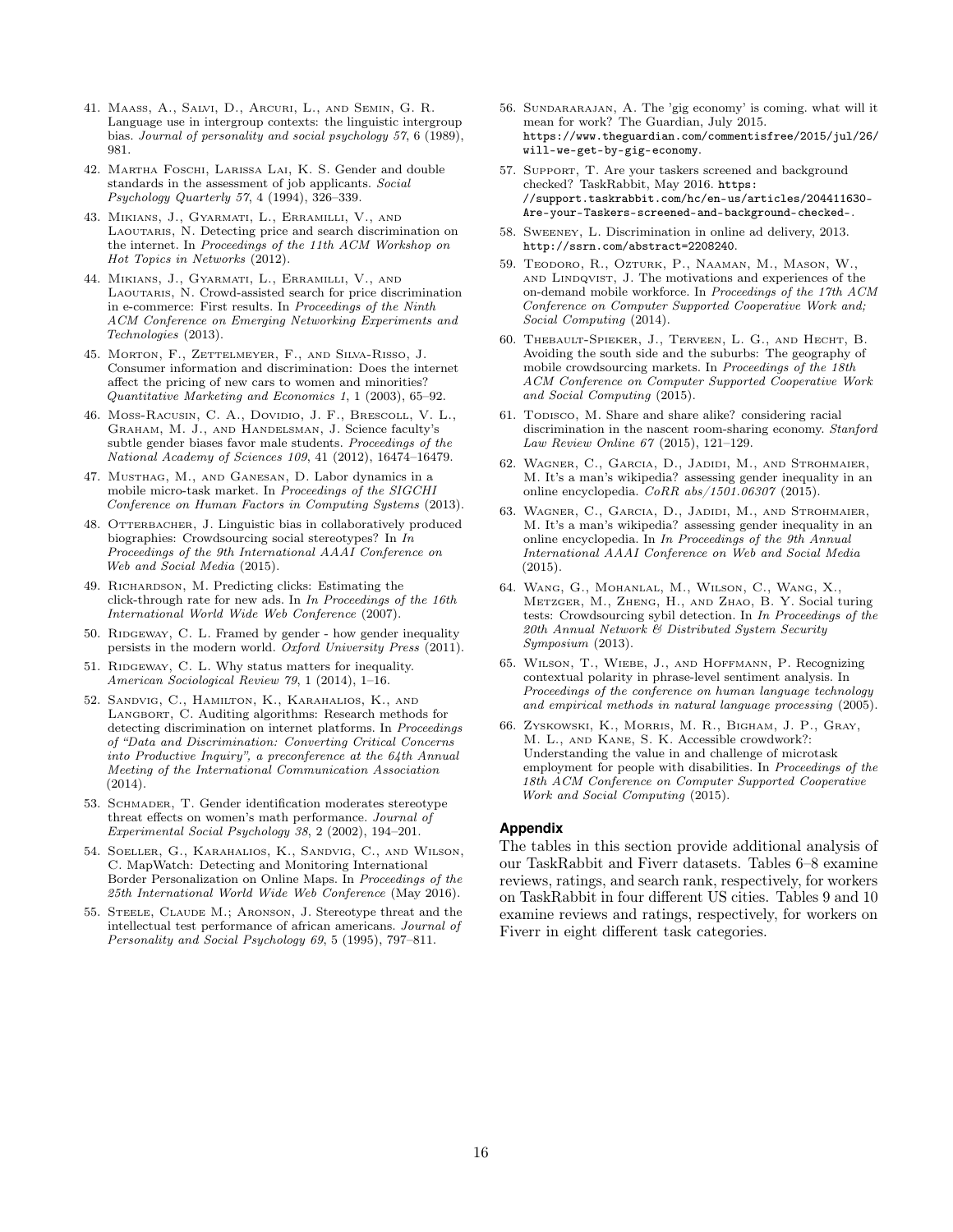- <span id="page-15-24"></span>41. Maass, A., Salvi, D., Arcuri, L., and Semin, G. R. Language use in intergroup contexts: the linguistic intergroup bias. Journal of personality and social psychology 57, 6 (1989), 981.
- <span id="page-15-15"></span>42. Martha Foschi, Larissa Lai, K. S. Gender and double standards in the assessment of job applicants. Social Psychology Quarterly 57, 4 (1994), 326–339.
- <span id="page-15-20"></span>43. Mikians, J., Gyarmati, L., Erramilli, V., and LAOUTARIS, N. Detecting price and search discrimination on the internet. In Proceedings of the 11th ACM Workshop on Hot Topics in Networks (2012).
- <span id="page-15-21"></span>44. Mikians, J., Gyarmati, L., Erramilli, V., and Laoutaris, N. Crowd-assisted search for price discrimination in e-commerce: First results. In Proceedings of the Ninth ACM Conference on Emerging Networking Experiments and Technologies (2013).
- <span id="page-15-12"></span>45. Morton, F., Zettelmeyer, F., and Silva-Risso, J. Consumer information and discrimination: Does the internet affect the pricing of new cars to women and minorities? Quantitative Marketing and Economics 1, 1 (2003), 65–92.
- <span id="page-15-13"></span>46. Moss-Racusin, C. A., Dovidio, J. F., Brescoll, V. L., Graham, M. J., and Handelsman, J. Science faculty's subtle gender biases favor male students. Proceedings of the National Academy of Sciences 109, 41 (2012), 16474–16479.
- <span id="page-15-9"></span>47. Musthag, M., and Ganesan, D. Labor dynamics in a mobile micro-task market. In Proceedings of the SIGCHI Conference on Human Factors in Computing Systems (2013).
- <span id="page-15-23"></span>48. OTTERBACHER, J. Linguistic bias in collaboratively produced biographies: Crowdsourcing social stereotypes? In In Proceedings of the 9th International AAAI Conference on Web and Social Media (2015).
- <span id="page-15-4"></span>49. Richardson, M. Predicting clicks: Estimating the click-through rate for new ads. In In Proceedings of the 16th International World Wide Web Conference (2007).
- <span id="page-15-16"></span>50. RIDGEWAY, C. L. Framed by gender - how gender inequality persists in the modern world. Oxford University Press (2011).
- <span id="page-15-18"></span>51. RIDGEWAY, C. L. Why status matters for inequality. American Sociological Review 79, 1 (2014), 1–16.
- <span id="page-15-19"></span>52. Sandvig, C., Hamilton, K., Karahalios, K., and LANGBORT, C. Auditing algorithms: Research methods for detecting discrimination on internet platforms. In Proceedings of "Data and Discrimination: Converting Critical Concerns into Productive Inquiry", a preconference at the 64th Annual Meeting of the International Communication Association (2014).
- <span id="page-15-14"></span>53. Schmader, T. Gender identification moderates stereotype threat effects on women's math performance. Journal of Experimental Social Psychology 38, 2 (2002), 194–201.
- <span id="page-15-7"></span>54. Soeller, G., Karahalios, K., Sandvig, C., and Wilson, C. MapWatch: Detecting and Monitoring International Border Personalization on Online Maps. In Proceedings of the 25th International World Wide Web Conference (May 2016).
- <span id="page-15-17"></span>55. Steele, Claude M.; Aronson, J. Stereotype threat and the intellectual test performance of african americans. Journal of Personality and Social Psychology 69, 5 (1995), 797–811.
- <span id="page-15-5"></span>56. Sundararajan, A. The 'gig economy' is coming. what will it mean for work? The Guardian, July 2015. [https://www.theguardian.com/commentisfree/2015/jul/26/](https://www.theguardian.com/commentisfree/2015/jul/26/will-we-get-by-gig-economy) [will-we-get-by-gig-economy](https://www.theguardian.com/commentisfree/2015/jul/26/will-we-get-by-gig-economy).
- <span id="page-15-22"></span>57. Support, T. Are your taskers screened and background checked? TaskRabbit, May 2016. [https:](https://support.taskrabbit.com/hc/en-us/articles/204411630-Are-your-Taskers-screened-and-background-checked-) [//support.taskrabbit.com/hc/en-us/articles/204411630-](https://support.taskrabbit.com/hc/en-us/articles/204411630-Are-your-Taskers-screened-and-background-checked-) [Are-your-Taskers-screened-and-background-checked-](https://support.taskrabbit.com/hc/en-us/articles/204411630-Are-your-Taskers-screened-and-background-checked-).
- <span id="page-15-3"></span>58. Sweeney, L. Discrimination in online ad delivery, 2013. <http://ssrn.com/abstract=2208240>.
- <span id="page-15-1"></span>59. Teodoro, R., Ozturk, P., Naaman, M., Mason, W., and Lindqvist, J. The motivations and experiences of the on-demand mobile workforce. In Proceedings of the 17th ACM Conference on Computer Supported Cooperative Work and; Social Computing (2014).
- <span id="page-15-8"></span>60. Thebault-Spieker, J., Terveen, L. G., and Hecht, B. Avoiding the south side and the suburbs: The geography of mobile crowdsourcing markets. In Proceedings of the 18th ACM Conference on Computer Supported Cooperative Work and Social Computing (2015).
- <span id="page-15-10"></span>61. Todisco, M. Share and share alike? considering racial discrimination in the nascent room-sharing economy. Stanford Law Review Online 67 (2015), 121–129.
- <span id="page-15-2"></span>62. Wagner, C., Garcia, D., Jadidi, M., and Strohmaier, M. It's a man's wikipedia? assessing gender inequality in an online encyclopedia.  $CoRR$   $abs/1501.06307$  (2015).
- <span id="page-15-11"></span>63. Wagner, C., Garcia, D., Jadidi, M., and Strohmaier, M. It's a man's wikipedia? assessing gender inequality in an online encyclopedia. In In Proceedings of the 9th Annual International AAAI Conference on Web and Social Media (2015).
- <span id="page-15-6"></span>64. Wang, G., Mohanlal, M., Wilson, C., Wang, X., Metzger, M., Zheng, H., and Zhao, B. Y. Social turing tests: Crowdsourcing sybil detection. In In Proceedings of the 20th Annual Network & Distributed System Security Symposium (2013).
- <span id="page-15-25"></span>65. Wilson, T., Wiebe, J., and Hoffmann, P. Recognizing contextual polarity in phrase-level sentiment analysis. In Proceedings of the conference on human language technology and empirical methods in natural language processing (2005).
- <span id="page-15-0"></span>66. Zyskowski, K., Morris, M. R., Bigham, J. P., Gray, M. L., and Kane, S. K. Accessible crowdwork?: Understanding the value in and challenge of microtask employment for people with disabilities. In Proceedings of the 18th ACM Conference on Computer Supported Cooperative Work and Social Computing (2015).

# **Appendix**

The tables in this section provide additional analysis of our TaskRabbit and Fiverr datasets. Tables [6](#page-16-0)[–8](#page-16-2) examine reviews, ratings, and search rank, respectively, for workers on TaskRabbit in four different US cities. Tables [9](#page-17-0) and [10](#page-17-1) examine reviews and ratings, respectively, for workers on Fiverr in eight different task categories.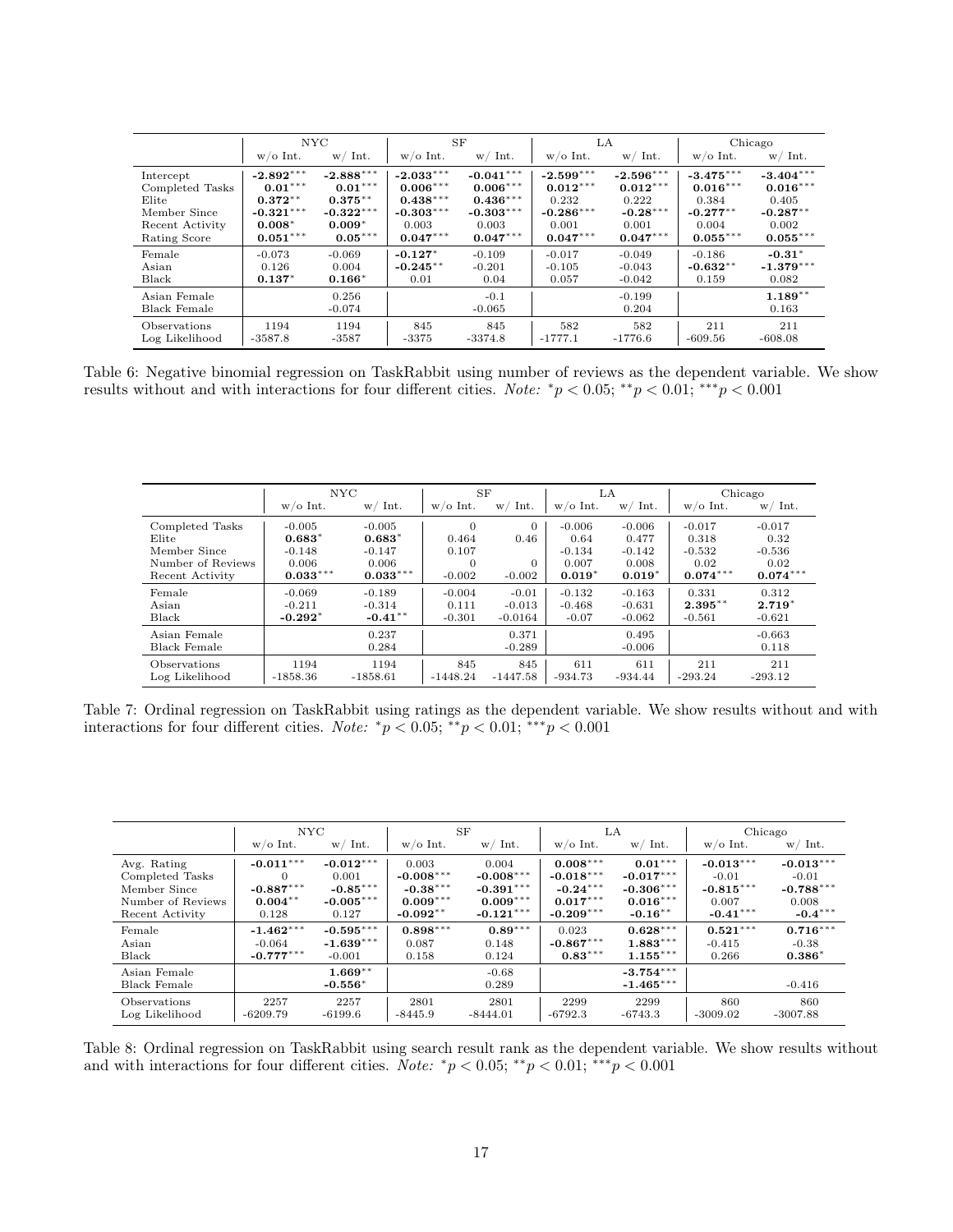<span id="page-16-0"></span>

|                                                                          | <b>NYC</b>                                                       |                                                                   |                                                                             | <b>SF</b>                                                       |                                                                        | LA                                                        | Chicago                                                    |                                                           |
|--------------------------------------------------------------------------|------------------------------------------------------------------|-------------------------------------------------------------------|-----------------------------------------------------------------------------|-----------------------------------------------------------------|------------------------------------------------------------------------|-----------------------------------------------------------|------------------------------------------------------------|-----------------------------------------------------------|
|                                                                          | $w$ /o Int.                                                      | Int.<br>W/                                                        | $w$ /o Int.                                                                 | Int.<br>W/                                                      | $w$ /o Int.                                                            | $w/$ Int.                                                 | $w/\mathrm{o}$ Int.                                        | $w/$ Int.                                                 |
| Intercept<br>Completed Tasks<br>Elite<br>Member Since<br>Recent Activity | $-2.892***$<br>$0.01***$<br>$0.372**$<br>$-0.321***$<br>$0.008*$ | $-2.888***$<br>$0.01***$<br>$0.375***$<br>$-0.322***$<br>$0.009*$ | $-2.033***$<br>$0.006***$<br>$0.438^{\ast\ast\ast}$<br>$-0.303***$<br>0.003 | $-0.041***$<br>$0.006***$<br>$0.436***$<br>$-0.303***$<br>0.003 | $-2.599***$<br>$0.012^{\ast\ast\ast}$<br>0.232<br>$-0.286***$<br>0.001 | $-2.596***$<br>$0.012***$<br>0.222<br>$-0.28***$<br>0.001 | $-3.475***$<br>$0.016***$<br>0.384<br>$-0.277***$<br>0.004 | $-3.404***$<br>$0.016***$<br>0.405<br>$-0.287**$<br>0.002 |
| Rating Score                                                             | $0.051***$                                                       | $0.05***$                                                         | $0.047***$                                                                  | $0.047***$                                                      | $0.047***$                                                             | $0.047***$                                                | $0.055***$                                                 | $0.055***$                                                |
| Female<br>Asian<br>Black                                                 | $-0.073$<br>0.126<br>$0.137*$                                    | $-0.069$<br>0.004<br>$0.166*$                                     | $-0.127*$<br>$-0.245***$<br>0.01                                            | $-0.109$<br>$-0.201$<br>0.04                                    | $-0.017$<br>$-0.105$<br>0.057                                          | $-0.049$<br>$-0.043$<br>$-0.042$                          | $-0.186$<br>-0.632 $^{\ast\ast}$<br>0.159                  | $-0.31*$<br>$-1.379***$<br>0.082                          |
| Asian Female<br><b>Black Female</b>                                      |                                                                  | 0.256<br>$-0.074$                                                 |                                                                             | $-0.1$<br>$-0.065$                                              |                                                                        | $-0.199$<br>0.204                                         |                                                            | $1.189**$<br>0.163                                        |
| Observations<br>Log Likelihood                                           | 1194<br>$-3587.8$                                                | 1194<br>$-3587$                                                   | 845<br>$-3375$                                                              | 845<br>$-3374.8$                                                | 582<br>$-1777.1$                                                       | 582<br>$-1776.6$                                          | 211<br>$-609.56$                                           | 211<br>$-608.08$                                          |

Table 6: Negative binomial regression on TaskRabbit using number of reviews as the dependent variable. We show results without and with interactions for four different cities. *Note:*  $^*p < 0.05;$   $^{**}p < 0.01;$   $^{***}p < 0.001$ 

<span id="page-16-1"></span>

|                   |             | <b>NYC</b> |                     | SF         |                     | LA         |             | Chicago    |
|-------------------|-------------|------------|---------------------|------------|---------------------|------------|-------------|------------|
|                   | $w$ /o Int. | $w/$ Int.  | $w/\mathrm{o}$ Int. | Int.<br>W/ | $w/\mathrm{o}$ Int. | Int.<br>W/ | $w$ /o Int. | $w/$ Int.  |
| Completed Tasks   | $-0.005$    | $-0.005$   | $\Omega$            | $\Omega$   | $-0.006$            | $-0.006$   | $-0.017$    | $-0.017$   |
| Elite             | $0.683*$    | $0.683*$   | 0.464               | 0.46       | 0.64                | 0.477      | 0.318       | 0.32       |
| Member Since      | $-0.148$    | $-0.147$   | 0.107               |            | $-0.134$            | $-0.142$   | $-0.532$    | $-0.536$   |
| Number of Reviews | 0.006       | 0.006      | $\Omega$            | $\Omega$   | 0.007               | 0.008      | 0.02        | 0.02       |
| Recent Activity   | $0.033***$  | $0.033***$ | $-0.002$            | $-0.002$   | $0.019*$            | $0.019*$   | $0.074***$  | $0.074***$ |
| Female            | $-0.069$    | $-0.189$   | $-0.004$            | $-0.01$    | $-0.132$            | $-0.163$   | 0.331       | 0.312      |
| Asian             | $-0.211$    | $-0.314$   | 0.111               | $-0.013$   | $-0.468$            | $-0.631$   | $2.395***$  | $2.719*$   |
| Black             | $-0.292*$   | $-0.41***$ | $-0.301$            | $-0.0164$  | $-0.07$             | $-0.062$   | $-0.561$    | $-0.621$   |
| Asian Female      |             | 0.237      |                     | 0.371      |                     | 0.495      |             | $-0.663$   |
| Black Female      |             | 0.284      |                     | $-0.289$   |                     | $-0.006$   |             | 0.118      |
| Observations      | 1194        | 1194       | 845                 | 845        | 611                 | 611        | 211         | 211        |
| Log Likelihood    | $-1858.36$  | $-1858.61$ | $-1448.24$          | $-1447.58$ | $-934.73$           | $-934.44$  | $-293.24$   | $-293.12$  |

Table 7: Ordinal regression on TaskRabbit using ratings as the dependent variable. We show results without and with interactions for four different cities. *Note:*  $^*p < 0.05$ ;  $^{**}p < 0.01$ ;  $^{***}p < 0.001$ 

<span id="page-16-2"></span>

|                     | NYC                 |             |             | SF          |                               | LA                     | Chicago                          |             |
|---------------------|---------------------|-------------|-------------|-------------|-------------------------------|------------------------|----------------------------------|-------------|
|                     | $w/\mathrm{o}$ Int. | $w/$ Int.   | $w$ /o Int. | $w/$ Int.   | $w$ /o Int.                   | $w/$ Int.              | $w/\mathrm{o}$ Int.              | $w/$ Int.   |
| Avg. Rating         | $-0.011***$         | $-0.012***$ | 0.003       | 0.004       | $0.008***$                    | $0.01***$              | $-0.013***$                      | $-0.013***$ |
| Completed Tasks     | $\Omega$            | 0.001       | $-0.008***$ | $-0.008***$ | $-0.018***$                   | $-0.017***$            | $-0.01$                          | $-0.01$     |
| Member Since        | $-0.887***$         | $-0.85***$  | $-0.38***$  | $-0.391***$ | $-0.24***$                    | $-0.306***$            | $\textbf{-0.815}^{\ast\ast\ast}$ | $-0.788***$ |
| Number of Reviews   | $0.004**$           | $-0.005***$ | $0.009***$  | $0.009***$  | $0.017***$                    | $0.016***$             | 0.007                            | 0.008       |
| Recent Activity     | 0.128               | 0.127       | $-0.092**$  | $-0.121***$ | $-0.209***$                   | $-0.16***$             | $-0.41***$                       | $-0.4***$   |
| Female              | $-1.462***$         | $-0.595***$ | $0.898***$  | $0.89***$   | 0.023                         | $0.628^{\ast\ast\ast}$ | $0.521***$                       | $0.716***$  |
| Asian               | $-0.064$            | $-1.639***$ | 0.087       | 0.148       | -0.867 $\hspace{0.1cm}^{***}$ | $1.883^{\ast\ast\ast}$ | $-0.415$                         | $-0.38$     |
| Black               | $-0.777***$         | $-0.001$    | 0.158       | 0.124       | $0.83***$                     | $1.155***$             | 0.266                            | $0.386*$    |
| Asian Female        |                     | $1.669**$   |             | $-0.68$     |                               | $-3.754***$            |                                  |             |
| <b>Black Female</b> |                     | $-0.556*$   |             | 0.289       |                               | $-1.465***$            |                                  | $-0.416$    |
| Observations        | 2257                | 2257        | 2801        | 2801        | 2299                          | 2299                   | 860                              | 860         |
| Log Likelihood      | $-6209.79$          | $-6199.6$   | $-8445.9$   | $-8444.01$  | $-6792.3$                     | $-6743.3$              | $-3009.02$                       | $-3007.88$  |

Table 8: Ordinal regression on TaskRabbit using search result rank as the dependent variable. We show results without and with interactions for four different cities. Note:  $^*p < 0.05$ ;  $^{**}p < 0.01$ ;  $^{***}p < 0.001$